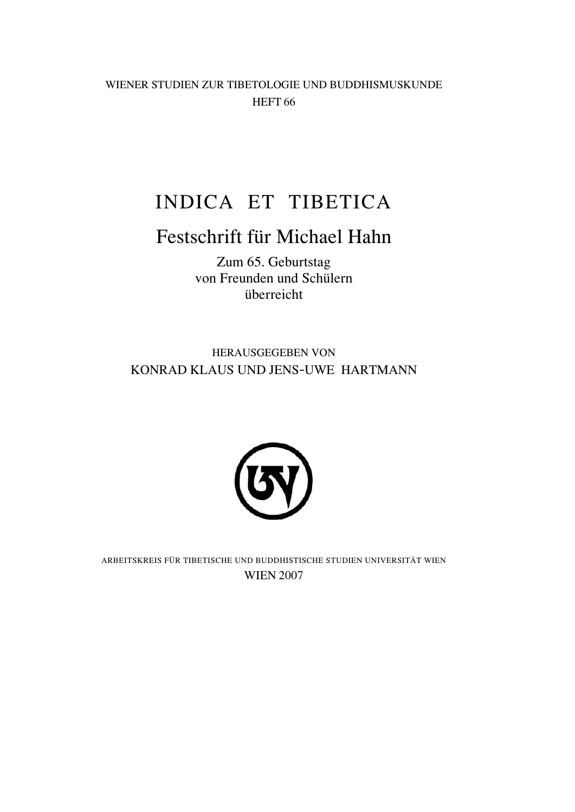WIENER STUDIEN ZUR TIBETOLOGIE UND BUDDHISMUSKUNDE HEFT 66

# INDICA ET TIBETICA

## Festschrift für Michael Hahn

Zum 65. Geburtstag von Freunden und Schülern überreicht

HERAUSGEGEBEN VON KONRAD KLAUS UND JENS-UWE HARTMANN



ARBEITSKREIS FÜR TIBETISCHE UND BUDDHISTISCHE STUDIEN UNIVERSITÄT WIEN WIEN 2007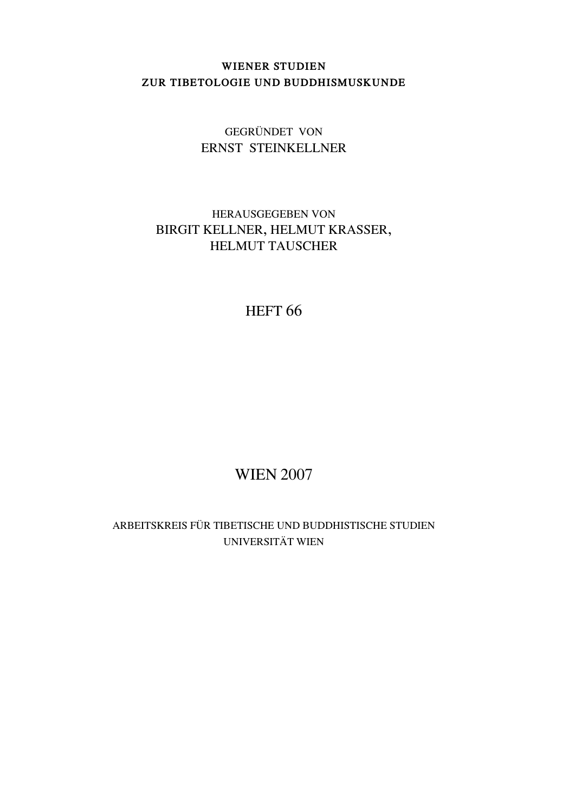### **WIENER STUDIEN ZUR TIBETOLOGIE UND BUDDHISMUSKUNDE**

### GEGRÜNDET VON ERNST STEINKELLNER

## HERAUSGEGEBEN VON BIRGIT KELLNER, HELMUT KRASSER, HELMUT TAUSCHER

## HEFT<sub>66</sub>

## WIEN 2007

ARBEITSKREIS FÜR TIBETISCHE UND BUDDHISTISCHE STUDIEN UNIVERSITÄT WIEN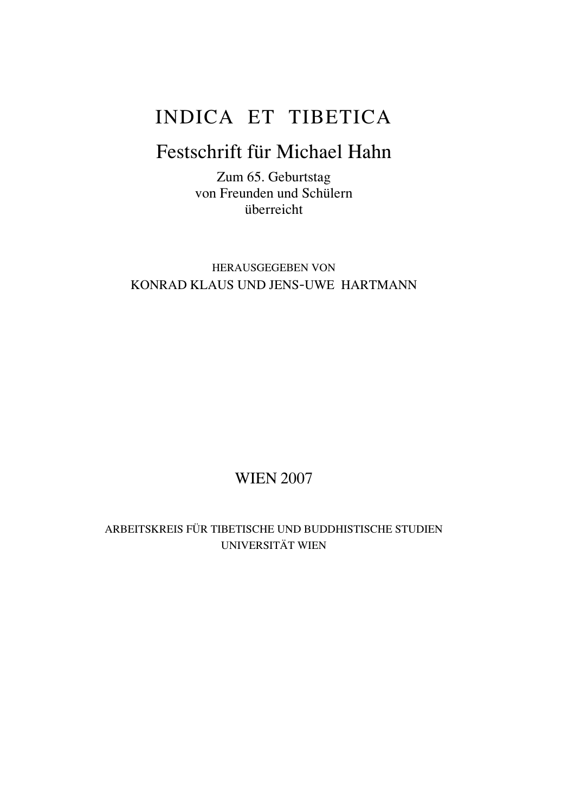# INDICA ET TIBETICA

## Festschrift für Michael Hahn

Zum 65. Geburtstag von Freunden und Schülern überreicht

HERAUSGEGEBEN VON KONRAD KLAUS UND JENS-UWE HARTMANN

## WIEN 2007

ARBEITSKREIS FÜR TIBETISCHE UND BUDDHISTISCHE STUDIEN UNIVERSITÄT WIEN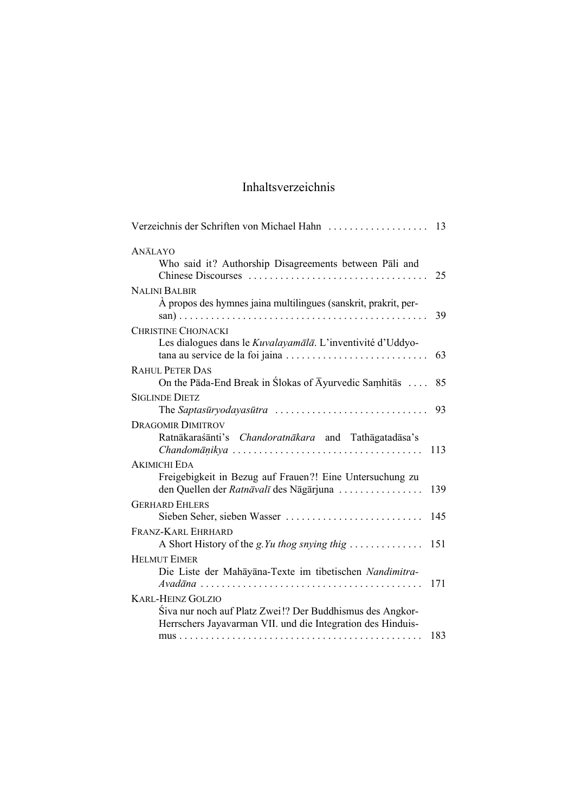## Inhaltsverzeichnis

| <b>ANĀLAYO</b><br>Who said it? Authorship Disagreements between Pali and<br>25                                                                                                                     |
|----------------------------------------------------------------------------------------------------------------------------------------------------------------------------------------------------|
| <b>NALINI BALBIR</b><br>À propos des hymnes jaina multilingues (sanskrit, prakrit, per-<br>39                                                                                                      |
| <b>CHRISTINE CHOJNACKI</b><br>Les dialogues dans le Kuvalayamālā. L'inventivité d'Uddyo-<br>tana au service de la foi jaina<br>63                                                                  |
| <b>RAHUL PETER DAS</b><br>On the Pāda-End Break in Slokas of $\overline{A}$ yurvedic Samhitās<br>85                                                                                                |
| <b>SIGLINDE DIETZ</b><br>The Saptasūryodayasūtra<br>93                                                                                                                                             |
| <b>DRAGOMIR DIMITROV</b><br>Ratnākaraśānti's Chandoratnākara and Tathāgatadāsa's<br>$Chandom\overline{a}nikya \ldots \ldots \ldots \ldots \ldots \ldots \ldots \ldots \ldots \ldots \ldots$<br>113 |
| <b>AKIMICHI EDA</b><br>Freigebigkeit in Bezug auf Frauen?! Eine Untersuchung zu<br>den Quellen der Ratnāvalī des Nāgārjuna<br>139                                                                  |
| <b>GERHARD EHLERS</b><br>Sieben Seher, sieben Wasser<br>145                                                                                                                                        |
| FRANZ-KARL EHRHARD<br>A Short History of the <i>g.Yu thog snying thig</i><br>151                                                                                                                   |
| <b>HELMUT EIMER</b><br>Die Liste der Mahāyāna-Texte im tibetischen Nandimitra-<br>171<br>$Avad\bar{a}na \ldots \ldots \ldots \ldots \ldots \ldots \ldots \ldots \ldots \ldots \ldots \ldots$       |
| <b>KARL-HEINZ GOLZIO</b><br>Śiva nur noch auf Platz Zwei!? Der Buddhismus des Angkor-<br>Herrschers Jayavarman VII. und die Integration des Hinduis-                                               |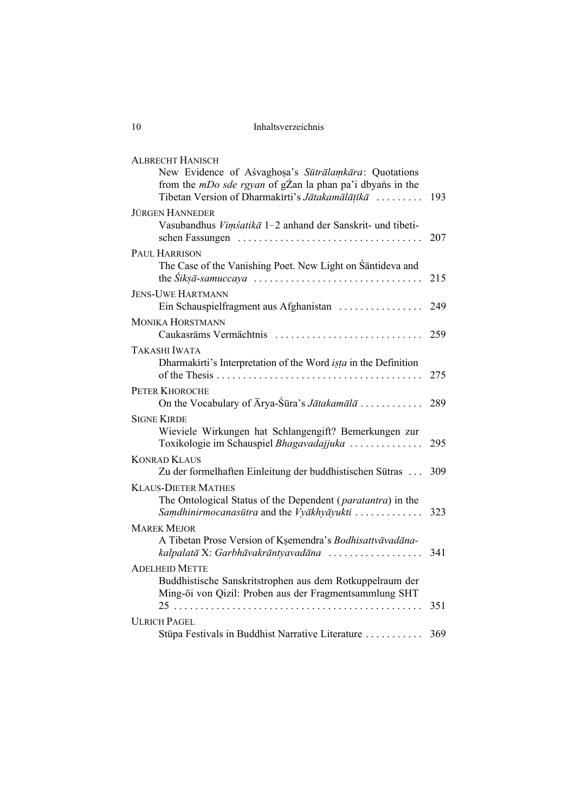Inhaltsverzeichnis

| <b>ALBRECHT HANISCH</b>                                                                                                                                                     |     |
|-----------------------------------------------------------------------------------------------------------------------------------------------------------------------------|-----|
| New Evidence of Aśvaghosa's Sūtrālamkāra: Quotations<br>from the <i>mDo sde rgyan</i> of gZan la phan pa'i dbyans in the<br>Tibetan Version of Dharmakīrti's Jātakamālātīkā | 193 |
| <b>JÜRGEN HANNEDER</b>                                                                                                                                                      |     |
| Vasubandhus Vimsatika 1-2 anhand der Sanskrit- und tibeti-                                                                                                                  | 207 |
| PAUL HARRISON                                                                                                                                                               |     |
| The Case of the Vanishing Poet. New Light on Śāntideva and                                                                                                                  | 215 |
| <b>JENS-UWE HARTMANN</b>                                                                                                                                                    |     |
| Ein Schauspielfragment aus Afghanistan                                                                                                                                      | 249 |
| MONIKA HORSTMANN                                                                                                                                                            |     |
| Caukasrāms Vermächtnis                                                                                                                                                      | 259 |
| TAKASHI IWATA                                                                                                                                                               |     |
| Dharmakirti's Interpretation of the Word <i>ista</i> in the Definition                                                                                                      | 275 |
| <b>PETER KHOROCHE</b>                                                                                                                                                       |     |
| On the Vocabulary of Arya-Śūra's Jātakamālā                                                                                                                                 | 289 |
| <b>SIGNE KIRDE</b>                                                                                                                                                          |     |
| Wieviele Wirkungen hat Schlangengift? Bemerkungen zur<br>Toxikologie im Schauspiel Bhagavadajjuka                                                                           | 295 |
| <b>KONRAD KLAUS</b>                                                                                                                                                         |     |
| Zu der formelhaften Einleitung der buddhistischen Sūtras                                                                                                                    | 309 |
| <b>KLAUS-DIETER MATHES</b>                                                                                                                                                  |     |
| The Ontological Status of the Dependent (paratantra) in the                                                                                                                 |     |
| Samdhinirmocanasūtra and the Vyākhyāyukti                                                                                                                                   | 323 |
| <b>MAREK MEJOR</b>                                                                                                                                                          |     |
| A Tibetan Prose Version of Ksemendra's Bodhisattvāvadāna-<br>kalpalatā X: Garbhāvakrāntyavadāna                                                                             | 341 |
| <b>ADELHEID METTE</b>                                                                                                                                                       |     |
| Buddhistische Sanskritstrophen aus dem Rotkuppelraum der<br>Ming-öi von Qizil: Proben aus der Fragmentsammlung SHT                                                          |     |
|                                                                                                                                                                             | 351 |
| <b>ULRICH PAGEL</b>                                                                                                                                                         |     |
| Stūpa Festivals in Buddhist Narrative Literature                                                                                                                            | 369 |

 $10$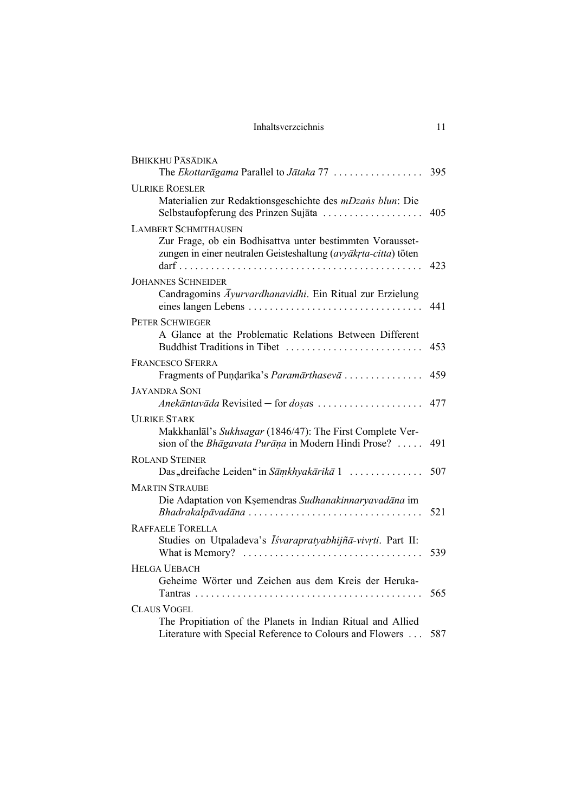| Inhaltsverzeichnis |  |
|--------------------|--|
|--------------------|--|

| <b>BHIKKHU PASADIKA</b><br>The Ekottaragama Parallel to Jataka 77                                                                                                                                             | 395 |
|---------------------------------------------------------------------------------------------------------------------------------------------------------------------------------------------------------------|-----|
| <b>ULRIKE ROESLER</b>                                                                                                                                                                                         |     |
| Materialien zur Redaktionsgeschichte des <i>mDzans blun</i> : Die<br>Selbstaufopferung des Prinzen Sujāta                                                                                                     | 405 |
| <b>LAMBERT SCHMITHAUSEN</b>                                                                                                                                                                                   |     |
| Zur Frage, ob ein Bodhisattva unter bestimmten Vorausset-<br>zungen in einer neutralen Geisteshaltung (avyākrta-citta) töten                                                                                  | 423 |
| <b>JOHANNES SCHNEIDER</b>                                                                                                                                                                                     |     |
| Candragomins Ayurvardhanavidhi. Ein Ritual zur Erzielung<br>eines langen Lebens                                                                                                                               | 441 |
| PETER SCHWIEGER                                                                                                                                                                                               |     |
| A Glance at the Problematic Relations Between Different<br>Buddhist Traditions in Tibet                                                                                                                       | 453 |
| <b>FRANCESCO SFERRA</b>                                                                                                                                                                                       |     |
| Fragments of Pundarika's Paramārthasevā                                                                                                                                                                       | 459 |
| <b>JAYANDRA SONI</b><br>Anekāntavāda Revisited — for dosas                                                                                                                                                    | 477 |
| <b>ULRIKE STARK</b><br>Makkhanlal's Sukhsagar (1846/47): The First Complete Ver-<br>sion of the <i>Bhāgavata Purāņa</i> in Modern Hindi Prose?                                                                | 491 |
| <b>ROLAND STEINER</b>                                                                                                                                                                                         |     |
| Das "dreifache Leiden" in Sāmkhyakārikā 1                                                                                                                                                                     | 507 |
| <b>MARTIN STRAUBE</b>                                                                                                                                                                                         |     |
| Die Adaptation von Ksemendras Sudhanakinnaryavadāna im<br>Bhadrakalpāvadāna                                                                                                                                   | 521 |
| <b>RAFFAELE TORELLA</b><br>Studies on Utpaladeva's <i>Īśvarapratyabhijñā-vivrti</i> . Part II:<br>What is Memory? $\dots$                                                                                     | 539 |
| <b>HELGA UEBACH</b><br>Geheime Wörter und Zeichen aus dem Kreis der Heruka-<br>Tantras<br>.<br>distribution de la construcción de la construcción de la construcción de la construcción de la construcción de | 565 |
| <b>CLAUS VOGEL</b>                                                                                                                                                                                            |     |
| The Propitiation of the Planets in Indian Ritual and Allied<br>Literature with Special Reference to Colours and Flowers                                                                                       | 587 |
|                                                                                                                                                                                                               |     |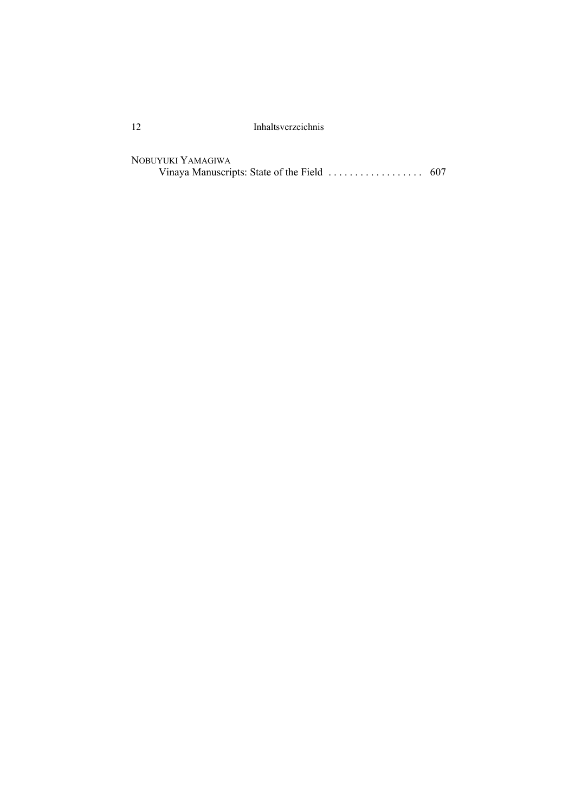12 Inhaltsverzeichnis

NOBUYUKI YAMAGIWA Vinaya Manuscripts: State of the Field . . . . . . . . . . . . . . . . . . 607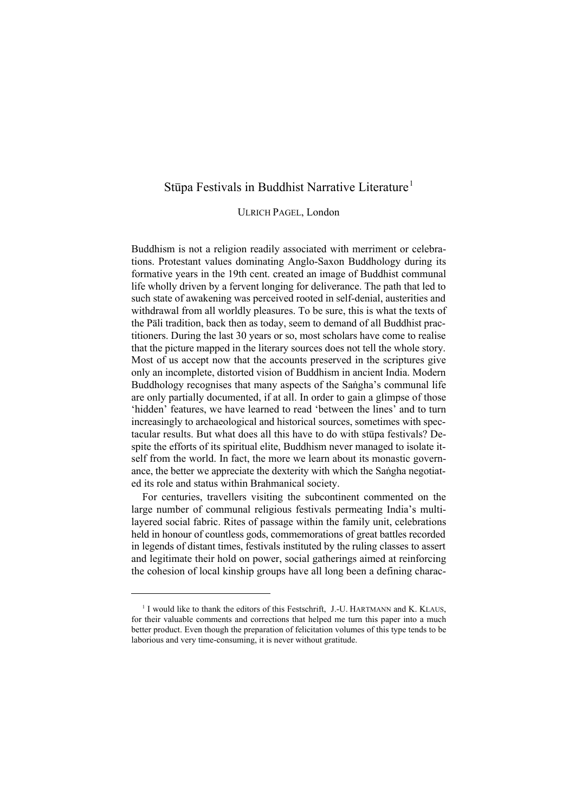#### Stūpa Festivals in Buddhist Narrative Literature<sup>1</sup>

ULRICH PAGEL, London

Buddhism is not a religion readily associated with merriment or celebrations. Protestant values dominating Anglo-Saxon Buddhology during its formative years in the 19th cent. created an image of Buddhist communal life wholly driven by a fervent longing for deliverance. The path that led to such state of awakening was perceived rooted in self-denial, austerities and withdrawal from all worldly pleasures. To be sure, this is what the texts of the Pali tradition, back then as today, seem to demand of all Buddhist practitioners. During the last 30 years or so, most scholars have come to realise that the picture mapped in the literary sources does not tell the whole story. Most of us accept now that the accounts preserved in the scriptures give only an incomplete, distorted vision of Buddhism in ancient India. Modern Buddhology recognises that many aspects of the Sangha's communal life are only partially documented, if at all. In order to gain a glimpse of those `hidden´ features, we have learned to read `between the lines´ and to turn increasingly to archaeological and historical sources, sometimes with spectacular results. But what does all this have to do with stupa festivals? Despite the efforts of its spiritual elite, Buddhism never managed to isolate itself from the world. In fact, the more we learn about its monastic governance, the better we appreciate the dexterity with which the Sangha negotiated its role and status within Brahmanical society.

For centuries, travellers visiting the subcontinent commented on the large number of communal religious festivals permeating India's multilayered social fabric. Rites of passage within the family unit, celebrations held in honour of countless gods, commemorations of great battles recorded in legends of distant times, festivals instituted by the ruling classes to assert and legitimate their hold on power, social gatherings aimed at reinforcing the cohesion of local kinship groups have all long been a defining charac-

 $1$  I would like to thank the editors of this Festschrift, J.-U. HARTMANN and K. KLAUS, for their valuable comments and corrections that helped me turn this paper into a much better product. Even though the preparation of felicitation volumes of this type tends to be laborious and very time-consuming, it is never without gratitude.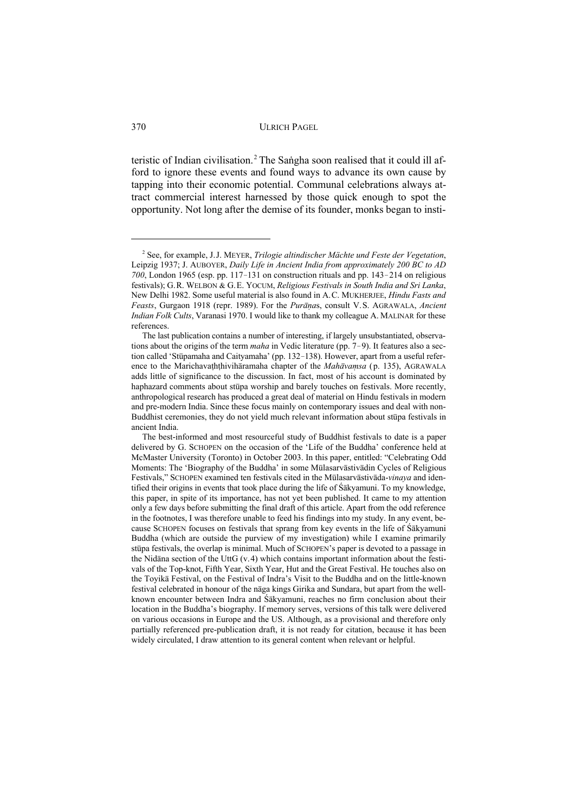teristic of Indian civilisation.<sup>2</sup> The Sangha soon realised that it could ill afford to ignore these events and found ways to advance its own cause by tapping into their economic potential. Communal celebrations always attract commercial interest harnessed by those quick enough to spot the opportunity. Not long after the demise of its founder, monks began to insti-

See, for example, J.J. MEYER, *Trilogie altindischer Mächte und Feste der Vegetation*, <sup>2</sup> Leipzig 1937; J. AUBOYER, *Daily Life in Ancient India from approximately 200 BC to AD*  $700$ , London 1965 (esp. pp. 117 $-131$  on construction rituals and pp. 143 $-214$  on religious festivals); G.R. WELBON & G.E. YOCUM, *Religious Festivals in South India and Sri Lanka*, New Delhi 1982. Some useful material is also found in A.C. MUKHERJEE, *Hindu Fasts and Feasts*, Gurgaon 1918 (repr. 1989). For the *Purānas*, consult V.S. AGRAWALA, *Ancient Indian Folk Cults*, Varanasi 1970. I would like to thank my colleague A. MALINAR for these references.

The last publication contains a number of interesting, if largely unsubstantiated, observations about the origins of the term *maha* in Vedic literature (pp. 7-9). It features also a section called 'Stūpamaha and Caityamaha' (pp. 132-138). However, apart from a useful reference to the Marichavaththiviharamaha chapter of the *Mahavamsa* (p. 135), AGRAWALA adds little of significance to the discussion. In fact, most of his account is dominated by haphazard comments about stupa worship and barely touches on festivals. More recently, anthropological research has produced a great deal of material on Hindu festivals in modern and pre-modern India. Since these focus mainly on contemporary issues and deal with non-Buddhist ceremonies, they do not yield much relevant information about stupa festivals in ancient India.

The best-informed and most resourceful study of Buddhist festivals to date is a paper delivered by G. SCHOPEN on the occasion of the 'Life of the Buddha' conference held at McMaster University (Toronto) in October 2003. In this paper, entitled: "Celebrating Odd Moments: The 'Biography of the Buddha' in some Mūlasarvāstivādin Cycles of Religious Festivals," SCHOPEN examined ten festivals cited in the Mūlasarvāstivāda-*vinaya* and identified their origins in events that took place during the life of  $\hat{S}$ akyamuni. To my knowledge, this paper, in spite of its importance, has not yet been published. It came to my attention only a few days before submitting the final draft of this article. Apart from the odd reference in the footnotes, I was therefore unable to feed his findings into my study. In any event, because SCHOPEN focuses on festivals that sprang from key events in the life of Śākyamuni Buddha (which are outside the purview of my investigation) while I examine primarily stūpa festivals, the overlap is minimal. Much of SCHOPEN's paper is devoted to a passage in the Nidāna section of the UttG (v.4) which contains important information about the festivals of the Top-knot, Fifth Year, Sixth Year, Hut and the Great Festival. He touches also on the Toyika Festival, on the Festival of Indra's Visit to the Buddha and on the little-known festival celebrated in honour of the naga kings Girika and Sundara, but apart from the wellknown encounter between Indra and Sakyamuni, reaches no firm conclusion about their location in the Buddha´s biography. If memory serves, versions of this talk were delivered on various occasions in Europe and the US. Although, as a provisional and therefore only partially referenced pre-publication draft, it is not ready for citation, because it has been widely circulated, I draw attention to its general content when relevant or helpful.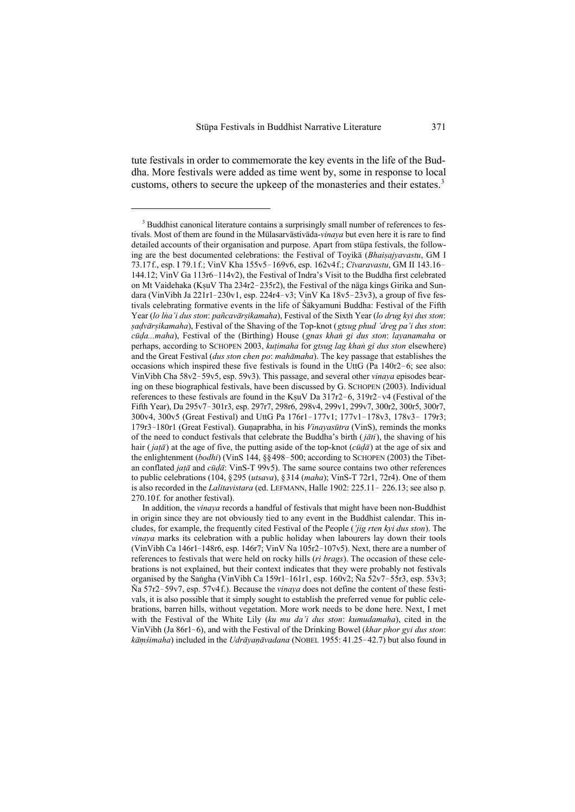tute festivals in order to commemorate the key events in the life of the Buddha. More festivals were added as time went by, some in response to local customs, others to secure the upkeep of the monasteries and their estates.<sup>3</sup>

<sup>&</sup>lt;sup>3</sup> Buddhist canonical literature contains a surprisingly small number of references to festivals. Most of them are found in the Mūlasarvāstivāda-*vinaya* but even here it is rare to find detailed accounts of their organisation and purpose. Apart from stupa festivals, the following are the best documented celebrations: the Festival of Toyika (*Bhaisajyavastu*, GM I 73.17f., esp. I 79.1f.; VinV Kha 155v5!169v6, esp. 162v4f.; *C¤varavastu*, GM II 143.16! 144.12; VinV Ga  $113r6-114v2$ ), the Festival of Indra's Visit to the Buddha first celebrated on Mt Vaidehaka (KşuV Tha 234r2-235r2), the Festival of the naga kings Girika and Sundara (VinVibh Ja 221r1-230v1, esp. 224r4-v3; VinV Ka 18v5-23v3), a group of five festivals celebrating formative events in the life of Sakyamuni Buddha: Festival of the Fifth Year (*lo lha'i dus ston: pañcavārṣikamaha*), Festival of the Sixth Year (*lo drug kyi dus ston*: *¼aÎv¢r¼ikamaha*), Festival of the Shaving of the Top-knot (*gtsug phud 'dreg pa'i dus ston*: *cūḍa...maha*), Festival of the (Birthing) House (*gnas khan gi dus ston: layanamaha* or perhaps, according to SCHOPEN 2003, *kutimaha* for *gtsug lag khan gi dus ston* elsewhere) and the Great Festival (*dus ston chen po*: *mah¢maha*). The key passage that establishes the occasions which inspired these five festivals is found in the UttG (Pa  $140r2-6$ ; see also: VinVibh Cha 58v2-59v5, esp. 59v3). This passage, and several other *vinaya* episodes bearing on these biographical festivals, have been discussed by G. SCHOPEN (2003). Individual references to these festivals are found in the KsuV Da  $317r2-6$ ,  $319r2-v4$  (Festival of the Fifth Year), Da 295v7-301r3, esp. 297r7, 298r6, 298v4, 299v1, 299v7, 300r2, 300r5, 300r7, 300v4, 300v5 (Great Festival) and UttG Pa 176r1-177v1; 177v1-178v3, 178v3-179r3; 179r3-180r1 (Great Festival). Gunaprabha, in his *Vinayasūtra* (VinS), reminds the monks of the need to conduct festivals that celebrate the Buddha's birth  $(j\bar{a}ti)$ , the shaving of his hair (*jatā*) at the age of five, the putting aside of the top-knot (*cūdā*) at the age of six and the enlightenment (*bodhi*) (VinS 144, §§498-500; according to SCHOPEN (2003) the Tibetan conflated *jatā* and *cūdā*: VinS-T 99v5). The same source contains two other references to public celebrations (104, §295 (*utsava*), §314 (*maha*); VinS-T 72r1, 72r4). One of them is also recorded in the *Lalitavistara* (ed. LEFMANN, Halle 1902: 225.11 - 226.13; see also p. 270.10f. for another festival).

In addition, the *vinaya* records a handful of festivals that might have been non-Buddhist in origin since they are not obviously tied to any event in the Buddhist calendar. This includes, for example, the frequently cited Festival of the People (*'jig rten kyi dus ston*). The *vinaya* marks its celebration with a public holiday when labourers lay down their tools (VinVibh Ca 146r1-148r6, esp. 146r7; VinV Na  $105r2-107v5$ ). Next, there are a number of references to festivals that were held on rocky hills (*ri brags*). The occasion of these celebrations is not explained, but their context indicates that they were probably not festivals organised by the Sangha (VinVibh Ca 159r1–161r1, esp. 160v2; Ña 52v7–55r3, esp. 53v3; Ña 57r2!59v7, esp. 57v4f.). Because the *vinaya* does not define the content of these festivals, it is also possible that it simply sought to establish the preferred venue for public celebrations, barren hills, without vegetation. More work needs to be done here. Next, I met with the Festival of the White Lily (*ku mu da'i dus ston*: *kumudamaha*), cited in the VinVibh (Ja 86r1–6), and with the Festival of the Drinking Bowel (*khar phor gyi dus ston*: *k* $\bar{a}$ *mśimaha*) included in the *Udrāyanāvadana* (NOBEL 1955: 41.25-42.7) but also found in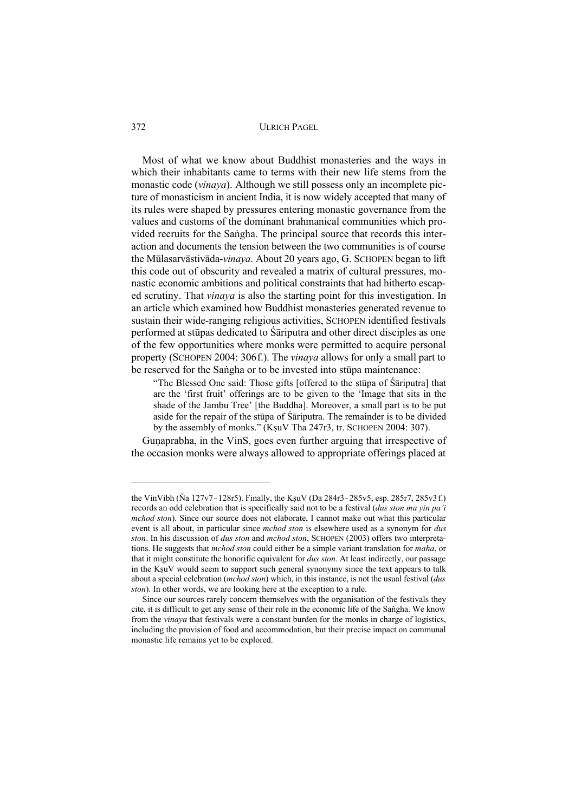Most of what we know about Buddhist monasteries and the ways in which their inhabitants came to terms with their new life stems from the monastic code (*vinaya*). Although we still possess only an incomplete picture of monasticism in ancient India, it is now widely accepted that many of its rules were shaped by pressures entering monastic governance from the values and customs of the dominant brahmanical communities which provided recruits for the Sangha. The principal source that records this interaction and documents the tension between the two communities is of course the Mūlasarvāstivāda-*vinaya*. About 20 years ago, G. SCHOPEN began to lift this code out of obscurity and revealed a matrix of cultural pressures, monastic economic ambitions and political constraints that had hitherto escaped scrutiny. That *vinaya* is also the starting point for this investigation. In an article which examined how Buddhist monasteries generated revenue to sustain their wide-ranging religious activities, SCHOPEN identified festivals performed at stupas dedicated to Sariputra and other direct disciples as one of the few opportunities where monks were permitted to acquire personal property (SCHOPEN 2004: 306f.). The *vinaya* allows for only a small part to be reserved for the Sangha or to be invested into stupa maintenance:

"The Blessed One said: Those gifts [offered to the stupa of  $\hat{\mathsf{S}}$ ariputra] that are the `first fruit´ offerings are to be given to the `Image that sits in the shade of the Jambu Tree´ [the Buddha]. Moreover, a small part is to be put aside for the repair of the stupa of  $\tilde{S}$ ariputra. The remainder is to be divided by the assembly of monks." (KşuV Tha 247r3, tr. SCHOPEN 2004: 307).

Gunaprabha, in the VinS, goes even further arguing that irrespective of the occasion monks were always allowed to appropriate offerings placed at

the VinVibh ( $\tilde{N}a 127v7 - 128r5$ ). Finally, the KsuV (Da 284r3-285v5, esp. 285r7, 285v3f.) records an odd celebration that is specifically said not to be a festival (*dus ston ma yin pa'i mchod ston*). Since our source does not elaborate, I cannot make out what this particular event is all about, in particular since *mchod ston* is elsewhere used as a synonym for *dus ston*. In his discussion of *dus ston* and *mchod ston*, SCHOPEN (2003) offers two interpretations. He suggests that *mchod ston* could either be a simple variant translation for *maha*, or that it might constitute the honorific equivalent for *dus ston*. At least indirectly, our passage in the KşuV would seem to support such general synonymy since the text appears to talk about a special celebration (*mchod ston*) which, in this instance, is not the usual festival (*dus ston*). In other words, we are looking here at the exception to a rule.

Since our sources rarely concern themselves with the organisation of the festivals they cite, it is difficult to get any sense of their role in the economic life of the Sangha. We know from the *vinaya* that festivals were a constant burden for the monks in charge of logistics, including the provision of food and accommodation, but their precise impact on communal monastic life remains yet to be explored.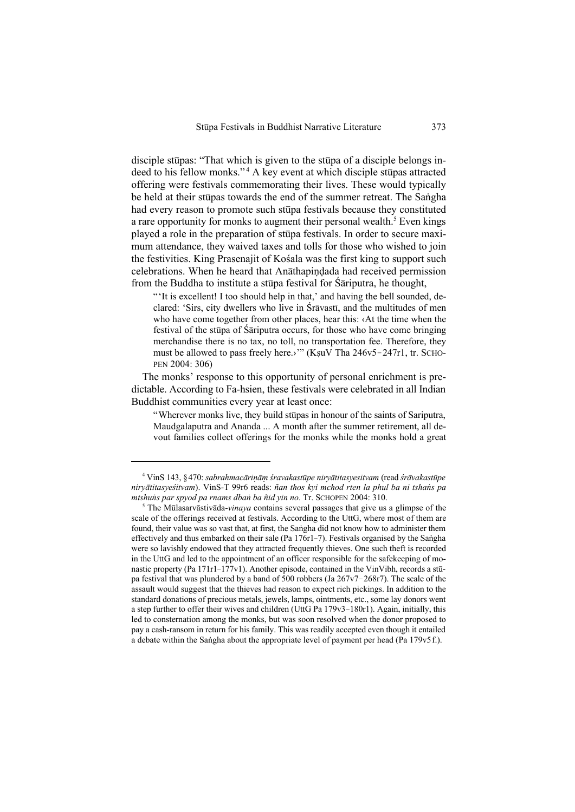disciple stupas: "That which is given to the stupa of a disciple belongs indeed to his fellow monks."<sup>4</sup> A key event at which disciple stupas attracted offering were festivals commemorating their lives. These would typically be held at their stupas towards the end of the summer retreat. The Sangha had every reason to promote such stupa festivals because they constituted a rare opportunity for monks to augment their personal wealth.<sup>5</sup> Even kings played a role in the preparation of stupa festivals. In order to secure maximum attendance, they waived taxes and tolls for those who wished to join the festivities. King Prasenajit of Kosala was the first king to support such celebrations. When he heard that Anathapindada had received permission from the Buddha to institute a stupa festival for Sariputra, he thought,

"'It is excellent! I too should help in that,' and having the bell sounded, declared: 'Sirs, city dwellers who live in Śrāvastī, and the multitudes of men who have come together from other places, hear this: ‹At the time when the festival of the stupa of Sariputra occurs, for those who have come bringing merchandise there is no tax, no toll, no transportation fee. Therefore, they must be allowed to pass freely here.>"" (KşuV Tha 246v5-247r1, tr. SCHO-PEN 2004: 306)

The monks' response to this opportunity of personal enrichment is predictable. According to Fa-hsien, these festivals were celebrated in all Indian Buddhist communities every year at least once:

"Wherever monks live, they build stupas in honour of the saints of Sariputra, Maudgalaputra and Ananda ... A month after the summer retirement, all devout families collect offerings for the monks while the monks hold a great

<sup>&</sup>lt;sup>4</sup> VinS 143, §470: *sabrahmacārinām śravakastūpe nirvātitasyesitvam* (read *śrāvakastūpe niry¢titasye¡itvam*). VinS-T 99r6 reads: *ñan thos kyi mchod rten la phul ba ni tshaËs pa mtshuns par spyod pa rnams dban ba ñid yin no.* Tr. SCHOPEN 2004: 310.

 $5$  The Mūlasarvāstivāda-*vinaya* contains several passages that give us a glimpse of the scale of the offerings received at festivals. According to the UttG, where most of them are found, their value was so vast that, at first, the Sangha did not know how to administer them effectively and thus embarked on their sale (Pa  $176r1-7$ ). Festivals organised by the Sangha were so lavishly endowed that they attracted frequently thieves. One such theft is recorded in the UttG and led to the appointment of an officer responsible for the safekeeping of monastic property (Pa  $171r1-177v1$ ). Another episode, contained in the VinVibh, records a stupa festival that was plundered by a band of 500 robbers (Ja  $267v7 - 268r7$ ). The scale of the assault would suggest that the thieves had reason to expect rich pickings. In addition to the standard donations of precious metals, jewels, lamps, ointments, etc., some lay donors went a step further to offer their wives and children (UttG Pa  $179v3 - 180r1$ ). Again, initially, this led to consternation among the monks, but was soon resolved when the donor proposed to pay a cash-ransom in return for his family. This was readily accepted even though it entailed a debate within the Sangha about the appropriate level of payment per head (Pa 179v5f.).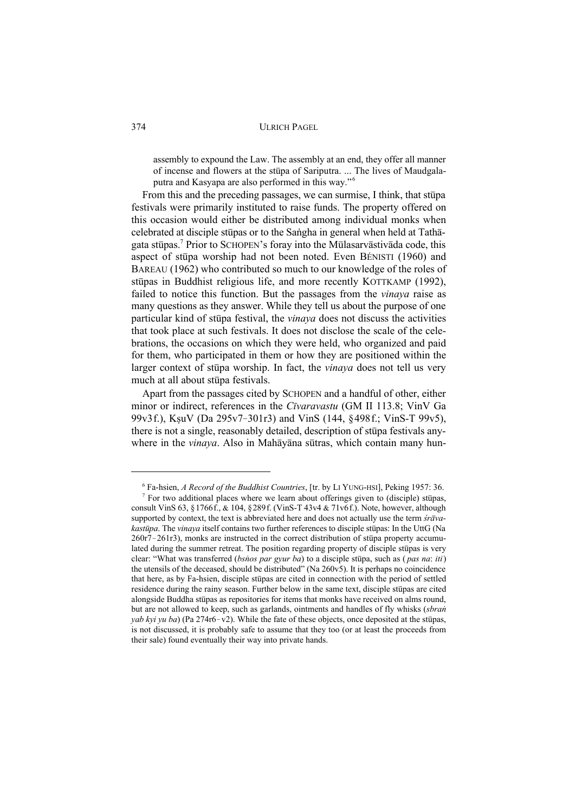assembly to expound the Law. The assembly at an end, they offer all manner of incense and flowers at the stupa of Sariputra. ... The lives of Maudgalaputra and Kasyapa are also performed in this way." <sup>6</sup>

From this and the preceding passages, we can surmise, I think, that stupa festivals were primarily instituted to raise funds. The property offered on this occasion would either be distributed among individual monks when celebrated at disciple stupas or to the Sangha in general when held at Tathagata stūpas.<sup>7</sup> Prior to SCHOPEN's foray into the Mūlasarvāstivāda code, this aspect of stupa worship had not been noted. Even BÉNISTI (1960) and BAREAU (1962) who contributed so much to our knowledge of the roles of stūpas in Buddhist religious life, and more recently KOTTKAMP (1992), failed to notice this function. But the passages from the *vinaya* raise as many questions as they answer. While they tell us about the purpose of one particular kind of stupa festival, the *vinaya* does not discuss the activities that took place at such festivals. It does not disclose the scale of the celebrations, the occasions on which they were held, who organized and paid for them, who participated in them or how they are positioned within the larger context of stupa worship. In fact, the *vinaya* does not tell us very much at all about stupa festivals.

Apart from the passages cited by SCHOPEN and a handful of other, either minor or indirect, references in the *Cīvaravastu* (GM II 113.8; VinV Ga 99v3f.), KsuV (Da 295v7-301r3) and VinS (144, §498f.; VinS-T 99v5), there is not a single, reasonably detailed, description of stupa festivals anywhere in the *vinaya*. Also in Mahayana sutras, which contain many hun-

<sup>&</sup>lt;sup>6</sup> Fa-hsien, *A Record of the Buddhist Countries*, [tr. by LI YUNG-HSI], Peking 1957: 36.

 $\frac{7}{7}$  For two additional places where we learn about offerings given to (disciple) stupas, consult VinS 63, §1766f., & 104, §289f. (VinS-T 43v4 & 71v6f.). Note, however, although supported by context, the text is abbreviated here and does not actually use the term *śrāvakastūpa*. The *vinaya* itself contains two further references to disciple stūpas: In the UttG (Na  $260r7 - 261r3$ ), monks are instructed in the correct distribution of stupa property accumulated during the summer retreat. The position regarding property of disciple stupes is very clear: "What was transferred (*bshos par gyur ba*) to a disciple stupa, such as (*pas na: iti*) the utensils of the deceased, should be distributed" (Na 260v5). It is perhaps no coincidence that here, as by Fa-hsien, disciple stupes are cited in connection with the period of settled residence during the rainy season. Further below in the same text, disciple stupes are cited alongside Buddha stūpas as repositories for items that monks have received on alms round, but are not allowed to keep, such as garlands, ointments and handles of fly whisks (*sbran*) *yab kyi yu ba*) (Pa  $274r6-v2$ ). While the fate of these objects, once deposited at the stupas, is not discussed, it is probably safe to assume that they too (or at least the proceeds from their sale) found eventually their way into private hands.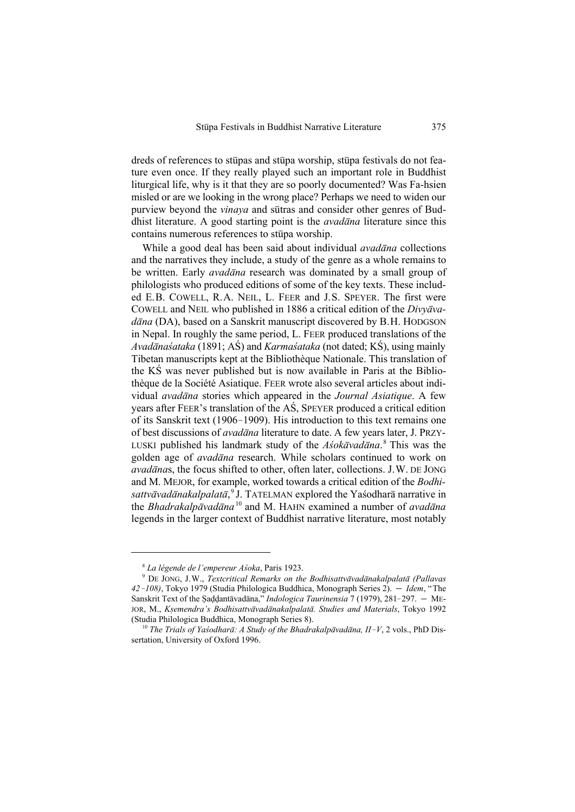dreds of references to stupas and stupa worship, stupa festivals do not feature even once. If they really played such an important role in Buddhist liturgical life, why is it that they are so poorly documented? Was Fa-hsien misled or are we looking in the wrong place? Perhaps we need to widen our purview beyond the *vinaya* and sutras and consider other genres of Buddhist literature. A good starting point is the *avadana* literature since this contains numerous references to stupa worship.

While a good deal has been said about individual *avadana* collections and the narratives they include, a study of the genre as a whole remains to be written. Early *avadana* research was dominated by a small group of philologists who produced editions of some of the key texts. These included E.B. COWELL, R.A. NEIL, L. FEER and J.S. SPEYER. The first were COWELL and NEIL who published in 1886 a critical edition of the *Divyava*dāna (DA), based on a Sanskrit manuscript discovered by B.H. HODGSON in Nepal. In roughly the same period, L. FEER produced translations of the *Avadānasataka* (1891; AS) and *Karmasataka* (not dated; KS), using mainly Tibetan manuscripts kept at the Bibliothèque Nationale. This translation of the KS was never published but is now available in Paris at the Bibliothèque de la Société Asiatique. FEER wrote also several articles about individual *avad¢na* stories which appeared in the *Journal Asiatique*. A few years after FEER's translation of the AS, SPEYER produced a critical edition of its Sanskrit text (1906–1909). His introduction to this text remains one of best discussions of *avad¢na* literature to date. A few years later, J. PRZY-LUSKI published his landmark study of the *Asokāvadāna*.<sup>8</sup> This was the golden age of *avad¢na* research. While scholars continued to work on *avad¢na*s, the focus shifted to other, often later, collections. J.W. DE JONG and M. MEJOR, for example, worked towards a critical edition of the *Bodhisattvāvadānakalpalatā*,<sup>9</sup>J. TATELMAN explored the Yasodharā narrative in the *Bhadrakalpāvadāna* <sup>10</sup> and M. HAHN examined a number of *avadāna* legends in the larger context of Buddhist narrative literature, most notably

<sup>&</sup>lt;sup>8</sup> La légende de l'empereur Asoka, Paris 1923.

<sup>&</sup>lt;sup>9</sup> DE JONG, J.W., *Textcritical Remarks on the Bodhisattvāvadānakalpalatā (Pallavas 42-108*), Tokyo 1979 (Studia Philologica Buddhica, Monograph Series 2). – *Idem*, "The Sanskrit Text of the Saddantāvadāna," *Indologica Taurinensia* 7 (1979), 281-297. — ME-JOR, M., *Ksemendra's Bodhisattvāvadānakalpalatā*. Studies and Materials, Tokyo 1992 (Studia Philologica Buddhica, Monograph Series 8).

<sup>&</sup>lt;sup>10</sup> The Trials of Yasodharā: A Study of the Bhadrakalpāvadāna, II<sup>-</sup>V, 2 vols., PhD Dissertation, University of Oxford 1996.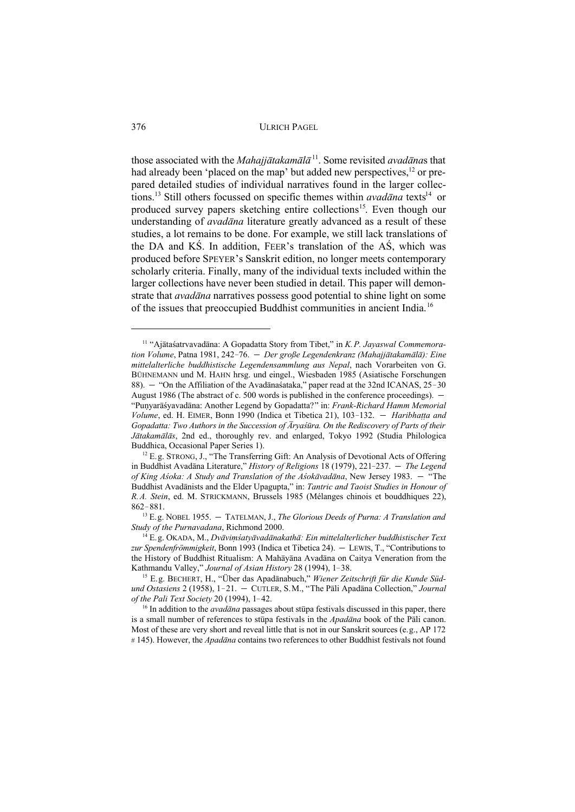those associated with the *Mahajjātakamālā* <sup>11</sup>. Some revisited *avadānas* that had already been 'placed on the map' but added new perspectives,  $^{12}$  or prepared detailed studies of individual narratives found in the larger collections.<sup>13</sup> Still others focussed on specific themes within *avadana* texts<sup>14</sup> or produced survey papers sketching entire collections<sup>15</sup>. Even though our understanding of *avadana* literature greatly advanced as a result of these studies, a lot remains to be done. For example, we still lack translations of the DA and  $K\acute{S}$ . In addition, FEER's translation of the A $\acute{S}$ , which was produced before SPEYER's Sanskrit edition, no longer meets contemporary scholarly criteria. Finally, many of the individual texts included within the larger collections have never been studied in detail. This paper will demonstrate that *avadana* narratives possess good potential to shine light on some of the issues that preoccupied Buddhist communities in ancient India.16

<sup>&</sup>lt;sup>11</sup> "Ajātaśatrvavadāna: A Gopadatta Story from Tibet," in *K.P. Jayaswal Commemoration Volume*, Patna 1981, 242-76. – Der große Legendenkranz (Mahajjātakamālā): Eine *mittelalterliche buddhistische Legendensammlung aus Nepal*, nach Vorarbeiten von G. BÜHNEMANN und M. HAHN hrsg. und eingel., Wiesbaden 1985 (Asiatische Forschungen 88).  $-$  "On the Affiliation of the Avadānas ataka," paper read at the 32nd ICANAS, 25-30 August 1986 (The abstract of c. 500 words is published in the conference proceedings).  $-$ "Punyarāśyavadāna: Another Legend by Gopadatta?" in: *Frank-Richard Hamm Memorial Volume*, ed. H. EIMER, Bonn 1990 (Indica et Tibetica 21), 103-132. - *Haribhatta and Gopadatta: Two Authors in the Succession of Ārya'sūra. On the Rediscovery of Parts of their* Jātakamālās, 2nd ed., thoroughly rev. and enlarged, Tokyo 1992 (Studia Philologica Buddhica, Occasional Paper Series 1).

 $12$  E.g. STRONG, J., "The Transferring Gift: An Analysis of Devotional Acts of Offering in Buddhist Avadāna Literature," *History of Religions* 18 (1979), 221-237. - The Legend *of King Asoka: A Study and Translation of the Asokāvadāna*, New Jersey 1983. — "The Buddhist Avadānists and the Elder Upagupta," in: *Tantric and Taoist Studies in Honour of R.A. Stein*, ed. M. STRICKMANN, Brussels 1985 (Mélanges chinois et bouddhiques 22),  $862 - 881.$ 

<sup>&</sup>lt;sup>13</sup> E.g. NOBEL 1955.  $-$  TATELMAN, J., *The Glorious Deeds of Purna: A Translation and Study of the Purnavadana*, Richmond 2000.

<sup>&</sup>lt;sup>14</sup> E.g. OKADA, M., *Dvāvimśatyāvadānakathā: Ein mittelalterlicher buddhistischer Text* zur Spendenfrömmigkeit, Bonn 1993 (Indica et Tibetica 24). - LEWIS, T., "Contributions to the History of Buddhist Ritualism: A Mahavana Avadana on Caitya Veneration from the Kathmandu Valley," *Journal of Asian History* 28 (1994), 1-38.

<sup>&</sup>lt;sup>15</sup> E.g. BECHERT, H., "Über das Apadānabuch," Wiener Zeitschrift für die Kunde Süd*und Ostasiens* 2 (1958), 1-21. – CUTLER, S.M., "The Pali Apadāna Collection," *Journal of the Pali Text Society* 20 (1994), 1-42.

 $16$  In addition to the *avadana* passages about stupa festivals discussed in this paper, there is a small number of references to stupa festivals in the *Apadana* book of the Pali canon. Most of these are very short and reveal little that is not in our Sanskrit sources (e.g., AP 172 # 145). However, the *Apad¢na* contains two references to other Buddhist festivals not found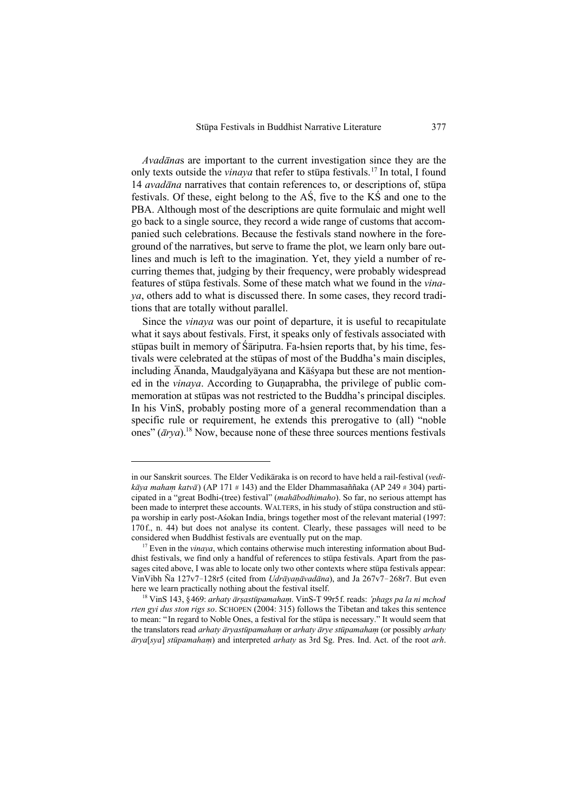*Avad¢na*s are important to the current investigation since they are the only texts outside the *vinaya* that refer to stupa festivals.<sup>17</sup> In total, I found 14 *avadāna* narratives that contain references to, or descriptions of, stūpa festivals. Of these, eight belong to the  $\overrightarrow{AS}$ , five to the  $\overrightarrow{KS}$  and one to the PBA. Although most of the descriptions are quite formulaic and might well go back to a single source, they record a wide range of customs that accompanied such celebrations. Because the festivals stand nowhere in the foreground of the narratives, but serve to frame the plot, we learn only bare outlines and much is left to the imagination. Yet, they yield a number of recurring themes that, judging by their frequency, were probably widespread features of stupa festivals. Some of these match what we found in the *vinaya*, others add to what is discussed there. In some cases, they record traditions that are totally without parallel.

Since the *vinaya* was our point of departure, it is useful to recapitulate what it says about festivals. First, it speaks only of festivals associated with stūpas built in memory of Sāriputra. Fa-hsien reports that, by his time, festivals were celebrated at the stupas of most of the Buddha's main disciples, including  $\bar{A}$ nanda, Maudgalyāyana and Kāsyapa but these are not mentioned in the *vinaya*. According to Gunaprabha, the privilege of public commemoration at stupas was not restricted to the Buddha's principal disciples. In his VinS, probably posting more of a general recommendation than a specific rule or requirement, he extends this prerogative to (all) "noble ones"  $(\bar{a}rva)$ .<sup>18</sup> Now, because none of these three sources mentions festivals

in our Sanskrit sources. The Elder Vedikāraka is on record to have held a rail-festival (*vedik¢ya maha¾ katv¢*) (AP 171 # 143) and the Elder Dhammasaññaka (AP 249 # 304) participated in a "great Bodhi-(tree) festival" (*mah¢bodhimaho*). So far, no serious attempt has been made to interpret these accounts. WALTERS, in his study of stupa construction and stupa worship in early post-Asokan India, brings together most of the relevant material (1997: 170f., n. 44) but does not analyse its content. Clearly, these passages will need to be considered when Buddhist festivals are eventually put on the map.

 $17$  Even in the *vinaya*, which contains otherwise much interesting information about Buddhist festivals, we find only a handful of references to stupa festivals. Apart from the passages cited above, I was able to locate only two other contexts where stupa festivals appear: VinVibh Ña 127v7-128r5 (cited from *Udrāvanāvadāna*), and Ja 267v7-268r7. But even here we learn practically nothing about the festival itself.

<sup>&</sup>lt;sup>18</sup> VinS 143, §469: arhaty ārṣastūpamahaṃ. VinS-T 99r5f. reads: 'phags pa la ni mchod *rten gyi dus ston rigs so*. SCHOPEN (2004: 315) follows the Tibetan and takes this sentence to mean: "In regard to Noble Ones, a festival for the stupa is necessary." It would seem that the translators read *arhaty āryastūpamaham* or *arhaty ārye stūpamaham* (or possibly *arhaty*  $\bar{a}rya[sga]$  *stūpamaham*) and interpreted *arhaty* as 3rd Sg. Pres. Ind. Act. of the root *arh*.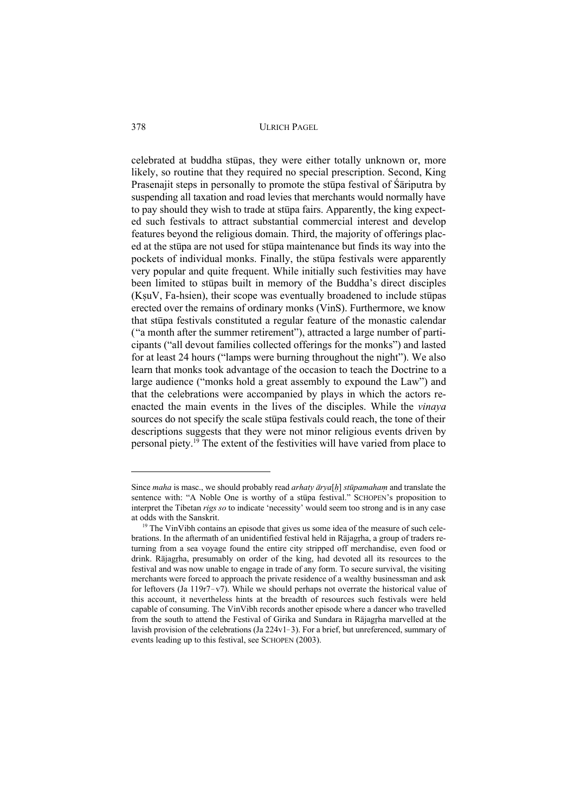celebrated at buddha stūpas, they were either totally unknown or, more likely, so routine that they required no special prescription. Second, King Prasenajit steps in personally to promote the stupa festival of Sariputra by suspending all taxation and road levies that merchants would normally have to pay should they wish to trade at stupa fairs. Apparently, the king expected such festivals to attract substantial commercial interest and develop features beyond the religious domain. Third, the majority of offerings placed at the stupa are not used for stupa maintenance but finds its way into the pockets of individual monks. Finally, the stupa festivals were apparently very popular and quite frequent. While initially such festivities may have been limited to stupas built in memory of the Buddha's direct disciples  $(KsuV, Fa-hsien)$ , their scope was eventually broadened to include stupas erected over the remains of ordinary monks (VinS). Furthermore, we know that stupa festivals constituted a regular feature of the monastic calendar ("a month after the summer retirement"), attracted a large number of participants ("all devout families collected offerings for the monks") and lasted for at least 24 hours ("lamps were burning throughout the night"). We also learn that monks took advantage of the occasion to teach the Doctrine to a large audience ("monks hold a great assembly to expound the Law") and that the celebrations were accompanied by plays in which the actors reenacted the main events in the lives of the disciples. While the *vinaya* sources do not specify the scale stupa festivals could reach, the tone of their descriptions suggests that they were not minor religious events driven by personal piety.<sup> $19$ </sup> The extent of the festivities will have varied from place to

Since *maha* is masc., we should probably read *arhaty*  $\bar{a}r$ *va*[*h*] *stūpamaham* and translate the sentence with: "A Noble One is worthy of a stupa festival." SCHOPEN's proposition to interpret the Tibetan *rigs so* to indicate "necessity´ would seem too strong and is in any case at odds with the Sanskrit.

 $19$  The VinVibh contains an episode that gives us some idea of the measure of such celebrations. In the aftermath of an unidentified festival held in Rajagrha, a group of traders returning from a sea voyage found the entire city stripped off merchandise, even food or drink. Rajagrha, presumably on order of the king, had devoted all its resources to the festival and was now unable to engage in trade of any form. To secure survival, the visiting merchants were forced to approach the private residence of a wealthy businessman and ask for leftovers (Ja  $119r7-v7$ ). While we should perhaps not overrate the historical value of this account, it nevertheless hints at the breadth of resources such festivals were held capable of consuming. The VinVibh records another episode where a dancer who travelled from the south to attend the Festival of Girika and Sundara in Rajagrha marvelled at the lavish provision of the celebrations (Ja  $224v1-3$ ). For a brief, but unreferenced, summary of events leading up to this festival, see SCHOPEN (2003).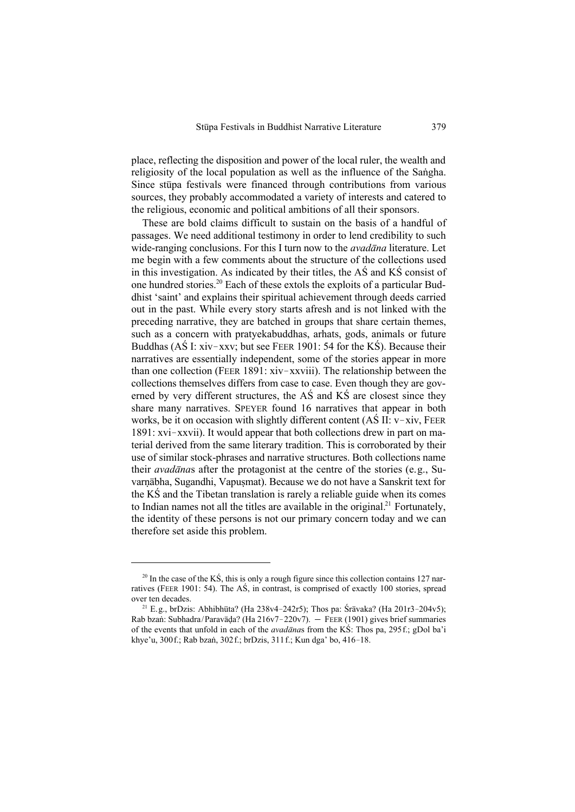place, reflecting the disposition and power of the local ruler, the wealth and religiosity of the local population as well as the influence of the Sangha. Since stupa festivals were financed through contributions from various sources, they probably accommodated a variety of interests and catered to the religious, economic and political ambitions of all their sponsors.

These are bold claims difficult to sustain on the basis of a handful of passages. We need additional testimony in order to lend credibility to such wide-ranging conclusions. For this I turn now to the *avadana* literature. Let me begin with a few comments about the structure of the collections used in this investigation. As indicated by their titles, the  $\overrightarrow{AS}$  and  $\overrightarrow{KS}$  consist of one hundred stories.<sup>20</sup> Each of these extols the exploits of a particular Buddhist 'saint' and explains their spiritual achievement through deeds carried out in the past. While every story starts afresh and is not linked with the preceding narrative, they are batched in groups that share certain themes, such as a concern with pratyekabuddhas, arhats, gods, animals or future Buddhas (AS I: xiv-xxv; but see FEER 1901: 54 for the KS). Because their narratives are essentially independent, some of the stories appear in more than one collection (FEER 1891:  $xiv - xxviii$ ). The relationship between the collections themselves differs from case to case. Even though they are governed by very different structures, the  $\overrightarrow{AS}$  and  $\overrightarrow{KS}$  are closest since they share many narratives. SPEYER found 16 narratives that appear in both works, be it on occasion with slightly different content  $(A\dot{S} \, \text{II}: \text{v}-\text{xiv}, \text{FEER})$  $1891: xvi - xxvii$ ). It would appear that both collections drew in part on material derived from the same literary tradition. This is corroborated by their use of similar stock-phrases and narrative structures. Both collections name their *avadanas* after the protagonist at the centre of the stories (e.g., Suvarnābha, Sugandhi, Vapusmat). Because we do not have a Sanskrit text for the  $K\acute{S}$  and the Tibetan translation is rarely a reliable guide when its comes to Indian names not all the titles are available in the original.<sup>21</sup> Fortunately, the identity of these persons is not our primary concern today and we can therefore set aside this problem.

 $20$  In the case of the KS, this is only a rough figure since this collection contains 127 narratives (FEER 1901: 54). The AS, in contrast, is comprised of exactly 100 stories, spread over ten decades.

<sup>&</sup>lt;sup>21</sup> E.g., brDzis: Abhibhūta? (Ha 238v4-242r5); Thos pa: Śrāvaka? (Ha 201r3-204v5); Rab bzaň: Subhadra/Paravāda? (Ha  $216v7 - 220v7$ ).  $-$  FEER (1901) gives brief summaries of the events that unfold in each of the *avadanas* from the KS: Thos pa, 295 f.; gDol ba'i khye'u, 300f.; Rab bzaň, 302f.; brDzis, 311f.; Kun dga' bo, 416-18.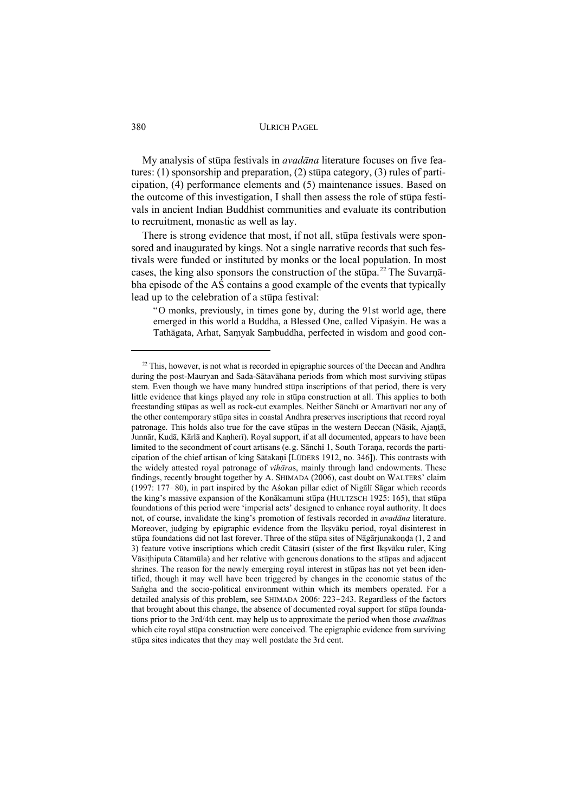My analysis of stūpa festivals in *avadāna* literature focuses on five features: (1) sponsorship and preparation, (2) stupa category, (3) rules of participation, (4) performance elements and (5) maintenance issues. Based on the outcome of this investigation. I shall then assess the role of stupa festivals in ancient Indian Buddhist communities and evaluate its contribution to recruitment, monastic as well as lay.

There is strong evidence that most, if not all, stupa festivals were sponsored and inaugurated by kings. Not a single narrative records that such festivals were funded or instituted by monks or the local population. In most cases, the king also sponsors the construction of the stupa.<sup>22</sup> The Suvarnabha episode of the  $\overrightarrow{AS}$  contains a good example of the events that typically lead up to the celebration of a stupa festival:

"O monks, previously, in times gone by, during the 91st world age, there emerged in this world a Buddha, a Blessed One, called Vipasyin. He was a Tathāgata, Arhat, Samyak Sambuddha, perfected in wisdom and good con-

 $22$  This, however, is not what is recorded in epigraphic sources of the Deccan and Andhra during the post-Mauryan and Sada-Sātavāhana periods from which most surviving stūpas stem. Even though we have many hundred stupa inscriptions of that period, there is very little evidence that kings played any role in stupa construction at all. This applies to both freestanding stūpas as well as rock-cut examples. Neither Sānchī or Amarāvatī nor any of the other contemporary stupa sites in coastal Andhra preserves inscriptions that record royal patronage. This holds also true for the cave stupas in the western Deccan (Nasik, Ajanta, Junnār, Kudā, Kārlā and Kaņherī). Royal support, if at all documented, appears to have been limited to the secondment of court artisans (e.g. Sānchī 1, South Toraņa, records the participation of the chief artisan of king Sātakani [LÜDERS 1912, no. 346]). This contrasts with the widely attested royal patronage of *vihāras*, mainly through land endowments. These findings, recently brought together by A. SHIMADA (2006), cast doubt on WALTERS' claim (1997: 177-80), in part inspired by the Asokan pillar edict of Nigālī Sāgar which records the king's massive expansion of the Kon $\bar{a}$ kamuni stūpa (HULTZSCH 1925: 165), that stūpa foundations of this period were `imperial acts´ designed to enhance royal authority. It does not, of course, invalidate the king's promotion of festivals recorded in *avadana* literature. Moreover, judging by epigraphic evidence from the Ikșvāku period, royal disinterest in stūpa foundations did not last forever. Three of the stūpa sites of Nāgārjunakonda (1, 2 and 3) feature votive inscriptions which credit Cātasirī (sister of the first Ikșvāku ruler, King Vāsiţhiputa Cātamūla) and her relative with generous donations to the stūpas and adjacent shrines. The reason for the newly emerging royal interest in stupas has not yet been identified, though it may well have been triggered by changes in the economic status of the Sangha and the socio-political environment within which its members operated. For a detailed analysis of this problem, see SHIMADA 2006: 223-243. Regardless of the factors that brought about this change, the absence of documented royal support for stupa foundations prior to the 3rd/4th cent. may help us to approximate the period when those *avadanas* which cite royal stupa construction were conceived. The epigraphic evidence from surviving stūpa sites indicates that they may well postdate the 3rd cent.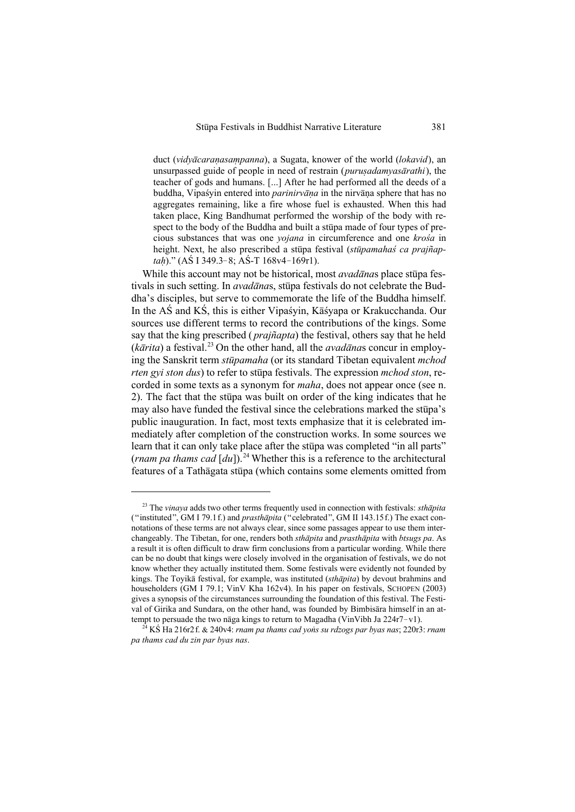duct (*vidyācaranasampanna*), a Sugata, knower of the world (*lokavid*), an unsurpassed guide of people in need of restrain (*purusadamyasārathi*), the teacher of gods and humans. [...] After he had performed all the deeds of a buddha, Vipasyin entered into *parinirvāna* in the nirvāņa sphere that has no aggregates remaining, like a fire whose fuel is exhausted. When this had taken place, King Bandhumat performed the worship of the body with respect to the body of the Buddha and built a stupa made of four types of precious substances that was one *yojana* in circumference and one *krośa* in height. Next, he also prescribed a st<del>u</del>pa festival (*stupamahas ca prajñaptah*)." (AŚ I 349.3-8; AŚ-T 168v4-169r1).

While this account may not be historical, most *avadanas* place stupa festivals in such setting. In *avadanas*, stupa festivals do not celebrate the Buddha's disciples, but serve to commemorate the life of the Buddha himself. In the AS and KS, this is either Vipasyin, Kāsyapa or Krakucchanda. Our sources use different terms to record the contributions of the kings. Some say that the king prescribed ( *prajñapta*) the festival, others say that he held  $(k\bar{a}rita)$  a festival.<sup>23</sup> On the other hand, all the *avad* $\bar{a}n$ as concur in employing the Sanskrit term *stūpamaha* (or its standard Tibetan equivalent *mchod rten gyi ston dus*) to refer to stupa festivals. The expression *mchod ston*, recorded in some texts as a synonym for *maha*, does not appear once (see n. 2). The fact that the stupa was built on order of the king indicates that he may also have funded the festival since the celebrations marked the stupa's public inauguration. In fact, most texts emphasize that it is celebrated immediately after completion of the construction works. In some sources we learn that it can only take place after the stupa was completed "in all parts" (*rnam pa thams cad*  $\left[du\right]$ ).<sup>24</sup> Whether this is a reference to the architectural features of a Tathāgata stūpa (which contains some elements omitted from

<sup>&</sup>lt;sup>23</sup> The *vinaya* adds two other terms frequently used in connection with festivals: *sthapita* ("instituted", GM I 79.1f.) and *prasth¢pita* ("celebrated", GM II 143.15f.) The exact connotations of these terms are not always clear, since some passages appear to use them interchangeably. The Tibetan, for one, renders both *sthāpita* and *prasthāpita* with *btsugs pa*. As a result it is often difficult to draw firm conclusions from a particular wording. While there can be no doubt that kings were closely involved in the organisation of festivals, we do not know whether they actually instituted them. Some festivals were evidently not founded by kings. The Toyika festival, for example, was instituted (*sthapita*) by devout brahmins and householders (GM I 79.1; VinV Kha 162v4). In his paper on festivals, SCHOPEN (2003) gives a synopsis of the circumstances surrounding the foundation of this festival. The Festival of Girika and Sundara, on the other hand, was founded by Bimbisara himself in an attempt to persuade the two nāga kings to return to Magadha (VinVibh Ja 224r7-v1).

<sup>&</sup>lt;sup>24</sup> KS Ha 216r2f. & 240v4: *rnam pa thams cad yons su rdzogs par byas nas*; 220r3: *rnam pa thams cad du zin par byas nas*.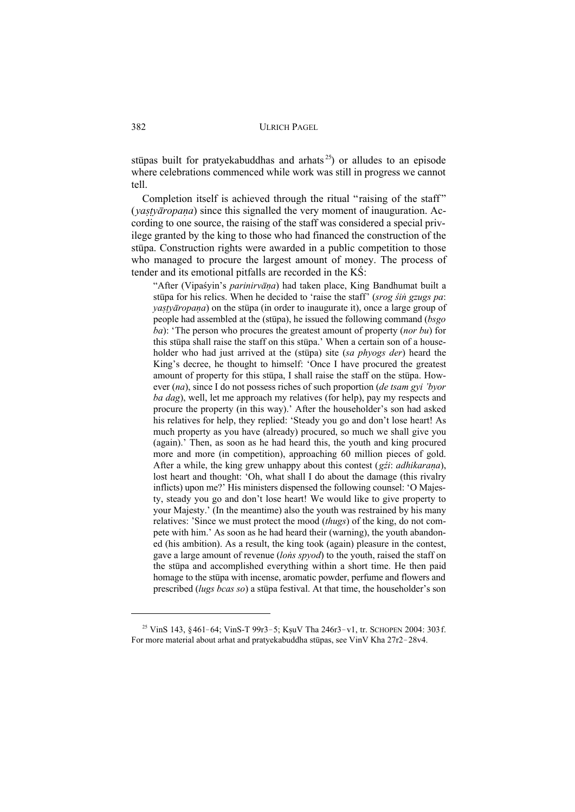stūpas built for pratyekabuddhas and arhats<sup>25</sup>) or alludes to an episode where celebrations commenced while work was still in progress we cannot tell.

Completion itself is achieved through the ritual "raising of the staff" (*vastvāropana*) since this signalled the very moment of inauguration. According to one source, the raising of the staff was considered a special privilege granted by the king to those who had financed the construction of the stūpa. Construction rights were awarded in a public competition to those who managed to procure the largest amount of money. The process of tender and its emotional pitfalls are recorded in the  $K\hat{S}$ :

"After (Vipaśyin's *parinirvāna*) had taken place, King Bandhumat built a stūpa for his relics. When he decided to 'raise the staff' (*srog sting gagge pa*: *yastyāropana*) on the stūpa (in order to inaugurate it), once a large group of people had assembled at the (st<del>u</del>pa), he issued the following command (*bsgo*) *ba*): `The person who procures the greatest amount of property (*nor bu*) for this stupa shall raise the staff on this stupa.' When a certain son of a householder who had just arrived at the (stupa) site (sa phyogs der) heard the King's decree, he thought to himself: 'Once I have procured the greatest amount of property for this stupa, I shall raise the staff on the stupa. However (*na*), since I do not possess riches of such proportion (*de tsam gyi 'byor ba dag*), well, let me approach my relatives (for help), pay my respects and procure the property (in this way).´ After the householder's son had asked his relatives for help, they replied: 'Steady you go and don't lose heart! As much property as you have (already) procured, so much we shall give you (again).´ Then, as soon as he had heard this, the youth and king procured more and more (in competition), approaching 60 million pieces of gold. After a while, the king grew unhappy about this contest (*gźi: adhikarana*), lost heart and thought: 'Oh, what shall I do about the damage (this rivalry inflicts) upon me?' His ministers dispensed the following counsel: 'O Majesty, steady you go and don't lose heart! We would like to give property to your Majesty.´ (In the meantime) also the youth was restrained by his many relatives: ´Since we must protect the mood (*thugs*) of the king, do not compete with him.´ As soon as he had heard their (warning), the youth abandoned (his ambition). As a result, the king took (again) pleasure in the contest, gave a large amount of revenue *(lons spyod)* to the youth, raised the staff on the stupa and accomplished everything within a short time. He then paid homage to the stupa with incense, aromatic powder, perfume and flowers and prescribed (*lugs bcas so*) a stupa festival. At that time, the householder's son

<sup>&</sup>lt;sup>25</sup> VinS 143, §461-64; VinS-T 99r3-5; KşuV Tha 246r3-v1, tr. SCHOPEN 2004: 303f. For more material about arhat and pratyekabuddha stūpas, see VinV Kha 27r2-28v4.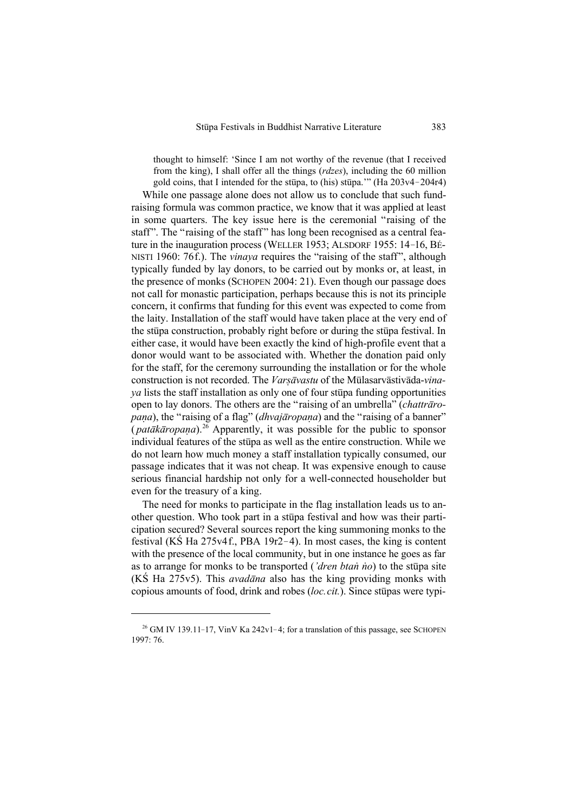thought to himself: `Since I am not worthy of the revenue (that I received from the king), I shall offer all the things (*rdzes*), including the 60 million gold coins, that I intended for the stupa, to (his) stupa." (Ha  $203v4 - 204r4$ )

While one passage alone does not allow us to conclude that such fundraising formula was common practice, we know that it was applied at least in some quarters. The key issue here is the ceremonial "raising of the staff". The "raising of the staff" has long been recognised as a central feature in the inauguration process (WELLER 1953; ALSDORF 1955: 14-16, BÉ-NISTI 1960: 76f.). The *vinaya* requires the "raising of the staff", although typically funded by lay donors, to be carried out by monks or, at least, in the presence of monks (SCHOPEN 2004: 21). Even though our passage does not call for monastic participation, perhaps because this is not its principle concern, it confirms that funding for this event was expected to come from the laity. Installation of the staff would have taken place at the very end of the stupa construction, probably right before or during the stupa festival. In either case, it would have been exactly the kind of high-profile event that a donor would want to be associated with. Whether the donation paid only for the staff, for the ceremony surrounding the installation or for the whole construction is not recorded. The *Varsāvastu* of the Mūlasarvāstivāda-*vina lists the staff installation as only one of four student funding opportunities* open to lay donors. The others are the "raising of an umbrella" (*chattraropana*), the "raising of a flag" (*dhvajāropaṇa*) and the "raising of a banner" (*patākāropana*).<sup>26</sup> Apparently, it was possible for the public to sponsor individual features of the stupa as well as the entire construction. While we do not learn how much money a staff installation typically consumed, our passage indicates that it was not cheap. It was expensive enough to cause serious financial hardship not only for a well-connected householder but even for the treasury of a king.

The need for monks to participate in the flag installation leads us to another question. Who took part in a stupa festival and how was their participation secured? Several sources report the king summoning monks to the festival (KS Ha  $275v4$ f., PBA 19r2-4). In most cases, the king is content with the presence of the local community, but in one instance he goes as far as to arrange for monks to be transported (*'dren btan no*) to the stupa site (KS Ha 275v5). This *avadāna* also has the king providing monks with copious amounts of food, drink and robes (*loc.cit.*). Since stup as were typi-

<sup>&</sup>lt;sup>26</sup> GM IV 139.11-17, VinV Ka 242v1-4; for a translation of this passage, see SCHOPEN 1997: 76.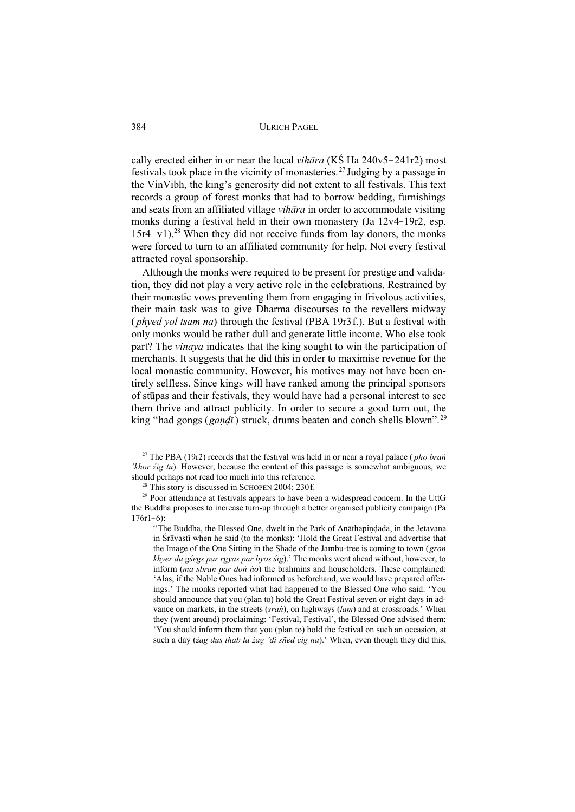cally erected either in or near the local *vihara* (KS Ha  $240v5 - 241r2$ ) most festivals took place in the vicinity of monasteries.<sup>27</sup> Judging by a passage in the VinVibh, the king's generosity did not extent to all festivals. This text records a group of forest monks that had to borrow bedding, furnishings and seats from an affiliated village *vihara* in order to accommodate visiting monks during a festival held in their own monastery (Ja 12v4-19r2, esp.  $15r4-v1$ ).<sup>28</sup> When they did not receive funds from lay donors, the monks were forced to turn to an affiliated community for help. Not every festival attracted royal sponsorship.

Although the monks were required to be present for prestige and validation, they did not play a very active role in the celebrations. Restrained by their monastic vows preventing them from engaging in frivolous activities, their main task was to give Dharma discourses to the revellers midway *(phyed yol tsam na)* through the festival (PBA 19r3f.). But a festival with only monks would be rather dull and generate little income. Who else took part? The *vinava* indicates that the king sought to win the participation of merchants. It suggests that he did this in order to maximise revenue for the local monastic community. However, his motives may not have been entirely selfless. Since kings will have ranked among the principal sponsors of stupas and their festivals, they would have had a personal interest to see them thrive and attract publicity. In order to secure a good turn out, the king "had gongs (gandī) struck, drums beaten and conch shells blown".<sup>29</sup>

<sup>&</sup>lt;sup>27</sup> The PBA (19r2) records that the festival was held in or near a royal palace (*pho bran*) 'khor  $\acute{z}$ ig tu). However, because the content of this passage is somewhat ambiguous, we should perhaps not read too much into this reference.

<sup>&</sup>lt;sup>28</sup> This story is discussed in SCHOPEN 2004: 230 f.

<sup>&</sup>lt;sup>29</sup> Poor attendance at festivals appears to have been a widespread concern. In the UttG the Buddha proposes to increase turn-up through a better organised publicity campaign (Pa  $176r1-6$ :

<sup>&</sup>quot;The Buddha, the Blessed One, dwelt in the Park of Anathapindada, in the Jetavana in Sravasti when he said (to the monks): 'Hold the Great Festival and advertise that the Image of the One Sitting in the Shade of the Jambu-tree is coming to town (gron khyer du gśegs par rgyas par byos śig).' The monks went ahead without, however, to inform (ma sbran par don no) the brahmins and householders. These complained: 'Alas, if the Noble Ones had informed us beforehand, we would have prepared offerings.' The monks reported what had happened to the Blessed One who said: 'You should announce that you (plan to) hold the Great Festival seven or eight days in advance on markets, in the streets ( $s$ ran), on highways ( $lam$ ) and at crossroads.' When they (went around) proclaiming: 'Festival, Festival', the Blessed One advised them: 'You should inform them that you (plan to) hold the festival on such an occasion, at such a day (*zag dus thab la zag 'di sñed cig na*).' When, even though they did this,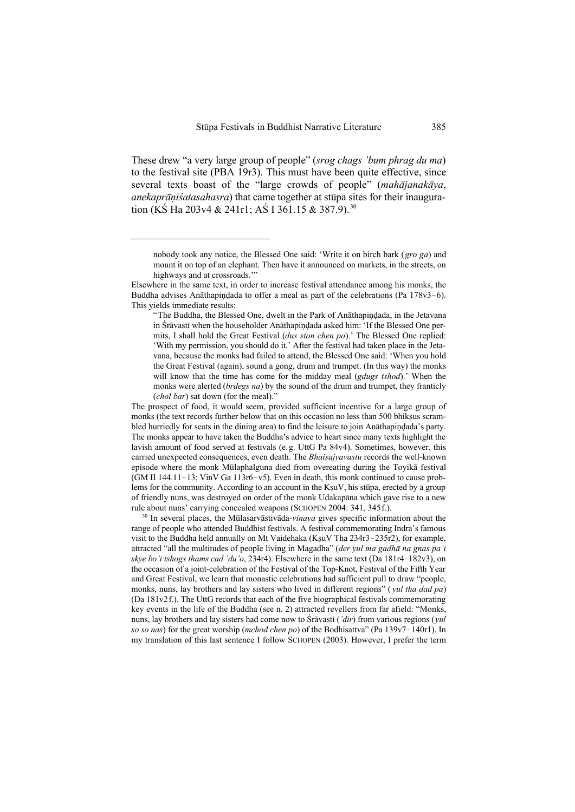These drew "a very large group of people" (*srog chags 'bum phrag du ma*) to the festival site (PBA 19r3). This must have been quite effective, since several texts boast of the "large crowds of people" (*mahājanakāya*, *anekaprāniśatasahasra*) that came together at stūpa sites for their inauguration (KŚ Ha 203v4 & 241r1; AŚ I 361.15 & 387.9).<sup>30</sup>

The prospect of food, it would seem, provided sufficient incentive for a large group of monks (the text records further below that on this occasion no less than 500 bhiksus scrambled hurriedly for seats in the dining area) to find the leisure to join Anathapindada's party. The monks appear to have taken the Buddha's advice to heart since many texts highlight the lavish amount of food served at festivals (e.g. UttG Pa 84v4). Sometimes, however, this carried unexpected consequences, even death. The *Bhaisajyavastu* records the well-known episode where the monk Mūlaphalguna died from overeating during the Toyika festival (GM II 144.11-13; VinV Ga 113r6-v5). Even in death, this monk continued to cause problems for the community. According to an account in the KsuV, his stupa, erected by a group of friendly nuns, was destroyed on order of the monk Udakapana which gave rise to a new rule about nuns´ carrying concealed weapons (SCHOPEN 2004: 341, 345f.).

<sup>30</sup> In several places, the Mūlasarvāstivāda-*vinaya* gives specific information about the range of people who attended Buddhist festivals. A festival commemorating Indra's famous visit to the Buddha held annually on Mt Vaidehaka (KsuV Tha  $234r3 - 235r2$ ), for example, attracted "all the multitudes of people living in Magadha" (*der yul ma gadh¢ na gnas pa'i skye bo'i tshogs thams cad 'du'o*, 234r4). Elsewhere in the same text (Da 181r4-182v3), on the occasion of a joint-celebration of the Festival of the Top-Knot, Festival of the Fifth Year and Great Festival, we learn that monastic celebrations had sufficient pull to draw "people, monks, nuns, lay brothers and lay sisters who lived in different regions" ( *yul tha dad pa*) (Da 181v2f.). The UttG records that each of the five biographical festivals commemorating key events in the life of the Buddha (see n. 2) attracted revellers from far afield: "Monks, nuns, lay brothers and lay sisters had come now to Sr $\bar{a}$ vast $\bar{a}$  (*'dir*) from various regions (*yul so so nas*) for the great worship (*mchod chen po*) of the Bodhisattva" (Pa 139v7-140r1). In my translation of this last sentence I follow SCHOPEN (2003). However, I prefer the term

nobody took any notice, the Blessed One said: `Write it on birch bark (*gro ga*) and mount it on top of an elephant. Then have it announced on markets, in the streets, on highways and at crossroads."

Elsewhere in the same text, in order to increase festival attendance among his monks, the Buddha advises An $\bar{\text{a}}$ thapindada to offer a meal as part of the celebrations (Pa 178v3–6). This yields immediate results:

<sup>&</sup>quot;The Buddha, the Blessed One, dwelt in the Park of Anathapindada, in the Jetavana in Śrāvastī when the householder Anāthapindada asked him: 'If the Blessed One permits, I shall hold the Great Festival (*dus ston chen po*).´ The Blessed One replied: `With my permission, you should do it.´ After the festival had taken place in the Jetavana, because the monks had failed to attend, the Blessed One said: `When you hold the Great Festival (again), sound a gong, drum and trumpet. (In this way) the monks will know that the time has come for the midday meal (*gdugs tshod*).´ When the monks were alerted (*brdegs na*) by the sound of the drum and trumpet, they franticly (*chol bar*) sat down (for the meal)."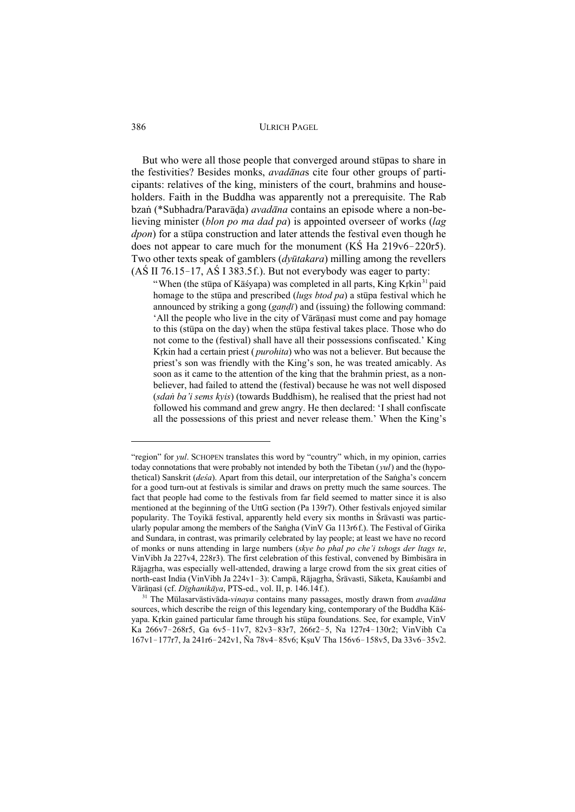But who were all those people that converged around stupas to share in the festivities? Besides monks, *avadanas* cite four other groups of participants: relatives of the king, ministers of the court, brahmins and householders. Faith in the Buddha was apparently not a prerequisite. The Rab bzan (\*Subhadra/Paravāda) *avadāna* contains an episode where a non-believing minister (blon po ma dad pa) is appointed overseer of works (lag *dpon*) for a stupa construction and later attends the festival even though he does not appear to care much for the monument ( $\overline{KS}$  Ha 219v6-220r5). Two other texts speak of gamblers (*dyūtakara*) milling among the revellers  $(AS II 76.15-17, AS I 383.5f.)$ . But not everybody was eager to party:

"When (the stupe of Kasvapa) was completed in all parts, King Krkin<sup>31</sup> paid homage to the stup and prescribed (lugs btod pa) a stup a festival which he announced by striking a gong (gandi) and (issuing) the following command: 'All the people who live in the city of Vārāņasī must come and pay homage to this (stupa on the day) when the stupa festival takes place. Those who do not come to the (festival) shall have all their possessions confiscated.' King Krkin had a certain priest (*purohita*) who was not a believer. But because the priest's son was friendly with the King's son, he was treated amicably. As soon as it came to the attention of the king that the brahmin priest, as a nonbeliever, had failed to attend the (festival) because he was not well disposed (sdan ba'i sems kyis) (towards Buddhism), he realised that the priest had not followed his command and grew angry. He then declared: 'I shall confiscate all the possessions of this priest and never release them.' When the King's

386

<sup>&</sup>quot;region" for yul. SCHOPEN translates this word by "country" which, in my opinion, carries today connotations that were probably not intended by both the Tibetan  $(1/2)$  and the (hypothetical) Sanskrit (desa). Apart from this detail, our interpretation of the Sangha's concern for a good turn-out at festivals is similar and draws on pretty much the same sources. The fact that people had come to the festivals from far field seemed to matter since it is also mentioned at the beginning of the UttG section (Pa 139r7). Other festivals enjoyed similar popularity. The Toyika festival, apparently held every six months in Śravasti was particularly popular among the members of the Sangha (VinV Ga 113r6f.). The Festival of Girika and Sundara, in contrast, was primarily celebrated by lay people; at least we have no record of monks or nuns attending in large numbers (skye bo phal po che'i tshogs der ltags te, VinVibh Ja 227v4, 228r3). The first celebration of this festival, convened by Bimbisara in Rājagrha, was especially well-attended, drawing a large crowd from the six great cities of north-east India (VinVibh Ja 224v1-3): Campā, Rājagŗha, Śrāvastī, Sāketa, Kauśambī and Vārāņasī (cf. Dīghanikāya, PTS-ed., vol. II, p. 146.14f.).

<sup>&</sup>lt;sup>31</sup> The Mūlasarvāstivāda-vinaya contains many passages, mostly drawn from avadāna sources, which describe the reign of this legendary king, contemporary of the Buddha Kasyapa. Krkin gained particular fame through his stup afoundations. See, for example, VinV Ka 266v7-268r5, Ga 6v5-11v7, 82v3-83r7, 266r2-5, Na 127r4-130r2; VinVibh Ca 167v1-177r7, Ja 241r6-242v1, Ña 78v4-85v6; KṣuV Tha 156v6-158v5, Da 33v6-35v2.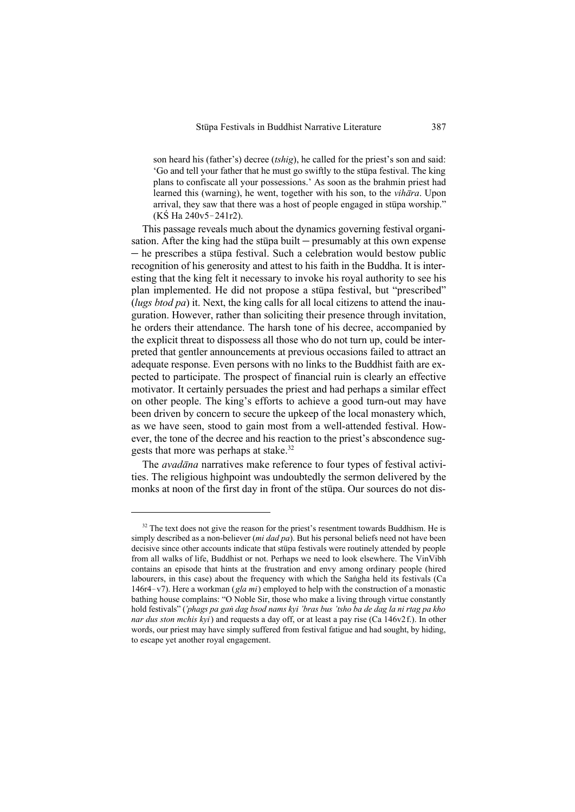son heard his (father's) decree (*tshig*), he called for the priest's son and said: 'Go and tell your father that he must go swiftly to the stupa festival. The king plans to confiscate all your possessions.´ As soon as the brahmin priest had learned this (warning), he went, together with his son, to the *vihāra*. Upon arrival, they saw that there was a host of people engaged in stupa worship."  $(K\dot{S}$  Ha 240v5-241r2).

This passage reveals much about the dynamics governing festival organisation. After the king had the stupa built  $-$  presumably at this own expense  $-$  he prescribes a stupa festival. Such a celebration would bestow public recognition of his generosity and attest to his faith in the Buddha. It is interesting that the king felt it necessary to invoke his royal authority to see his plan implemented. He did not propose a stupa festival, but "prescribed" (*lugs btod pa*) it. Next, the king calls for all local citizens to attend the inauguration. However, rather than soliciting their presence through invitation, he orders their attendance. The harsh tone of his decree, accompanied by the explicit threat to dispossess all those who do not turn up, could be interpreted that gentler announcements at previous occasions failed to attract an adequate response. Even persons with no links to the Buddhist faith are expected to participate. The prospect of financial ruin is clearly an effective motivator. It certainly persuades the priest and had perhaps a similar effect on other people. The king's efforts to achieve a good turn-out may have been driven by concern to secure the upkeep of the local monastery which, as we have seen, stood to gain most from a well-attended festival. However, the tone of the decree and his reaction to the priest's abscondence suggests that more was perhaps at stake.<sup>32</sup>

The *avadāna* narratives make reference to four types of festival activities. The religious highpoint was undoubtedly the sermon delivered by the monks at noon of the first day in front of the stupa. Our sources do not dis-

 $32$  The text does not give the reason for the priest's resentment towards Buddhism. He is simply described as a non-believer (*mi dad pa*). But his personal beliefs need not have been decisive since other accounts indicate that stupa festivals were routinely attended by people from all walks of life, Buddhist or not. Perhaps we need to look elsewhere. The VinVibh contains an episode that hints at the frustration and envy among ordinary people (hired labourers, in this case) about the frequency with which the Sangha held its festivals (Ca 146r4-v7). Here a workman (*gla mi*) employed to help with the construction of a monastic bathing house complains: "O Noble Sir, those who make a living through virtue constantly hold festivals" (*'phags pa gan dag bsod nams kyi 'bras bus' tsho ba de dag la ni rtag pa kho nar dus ston mchis kyi*) and requests a day off, or at least a pay rise (Ca 146v2f.). In other words, our priest may have simply suffered from festival fatigue and had sought, by hiding, to escape yet another royal engagement.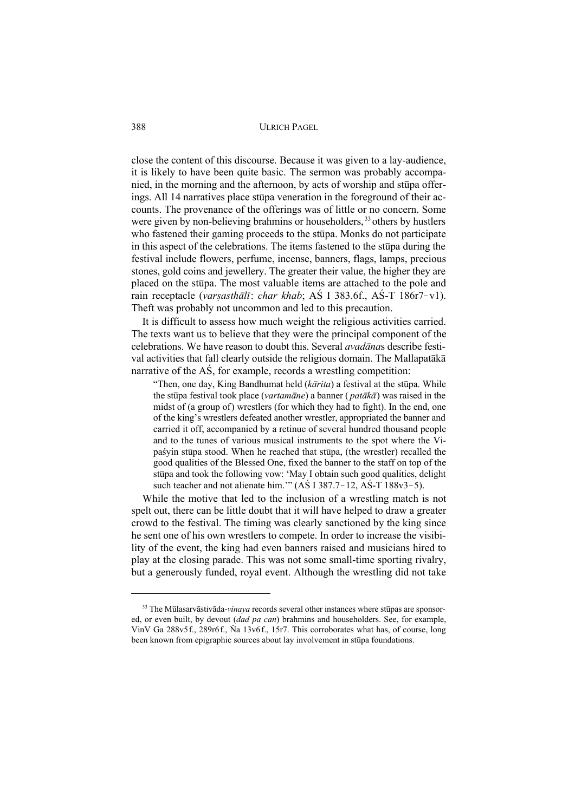close the content of this discourse. Because it was given to a lay-audience, it is likely to have been quite basic. The sermon was probably accompanied, in the morning and the afternoon, by acts of worship and stupa offerings. All 14 narratives place stupa veneration in the foreground of their accounts. The provenance of the offerings was of little or no concern. Some were given by non-believing brahmins or householders,  $33$  others by hustlers who fastened their gaming proceeds to the stupa. Monks do not participate in this aspect of the celebrations. The items fastened to the stupa during the festival include flowers, perfume, incense, banners, flags, lamps, precious stones, gold coins and jewellery. The greater their value, the higher they are placed on the stupa. The most valuable items are attached to the pole and rain receptacle (*varșasthālī: char khab*; AS I 383.6f., AS-T 186r7-v1). Theft was probably not uncommon and led to this precaution.

It is difficult to assess how much weight the religious activities carried. The texts want us to believe that they were the principal component of the celebrations. We have reason to doubt this. Several *avadanas* describe festival activities that fall clearly outside the religious domain. The Mallapatākā narrative of the  $\overrightarrow{AS}$ , for example, records a wrestling competition:

"Then, one day, King Bandhumat held  $(k\bar{a}rita)$  a festival at the stupa. While the stupa festival took place (*vartamane*) a banner (*pataka*) was raised in the midst of (a group of) wrestlers (for which they had to fight). In the end, one of the king's wrestlers defeated another wrestler, appropriated the banner and carried it off, accompanied by a retinue of several hundred thousand people and to the tunes of various musical instruments to the spot where the Vipaśyin stūpa stood. When he reached that stūpa, (the wrestler) recalled the good qualities of the Blessed One, fixed the banner to the staff on top of the stūpa and took the following vow: 'May I obtain such good qualities, delight such teacher and not alienate him."  $(A\acute{S} 1 387.7 - 12, A\acute{S} - T 188v3 - 5)$ .

While the motive that led to the inclusion of a wrestling match is not spelt out, there can be little doubt that it will have helped to draw a greater crowd to the festival. The timing was clearly sanctioned by the king since he sent one of his own wrestlers to compete. In order to increase the visibility of the event, the king had even banners raised and musicians hired to play at the closing parade. This was not some small-time sporting rivalry, but a generously funded, royal event. Although the wrestling did not take

<sup>&</sup>lt;sup>33</sup> The Mūlasarvāstivāda-*vinava* records several other instances where stūpas are sponsored, or even built, by devout (*dad pa can*) brahmins and householders. See, for example, VinV Ga 288v5f., 289r6f., Na 13v6f., 15r7. This corroborates what has, of course, long been known from epigraphic sources about lay involvement in stupa foundations.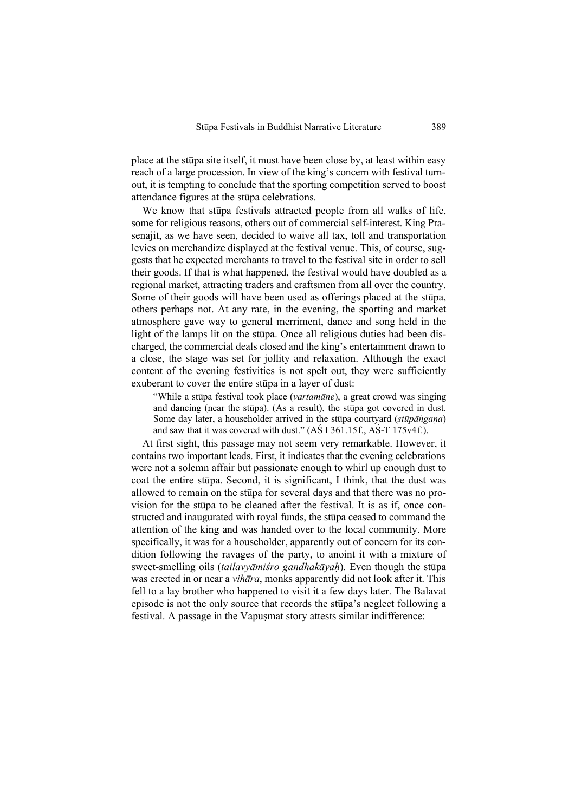place at the stupa site itself, it must have been close by, at least within easy reach of a large procession. In view of the king's concern with festival turnout, it is tempting to conclude that the sporting competition served to boost attendance figures at the stupa celebrations.

We know that stupa festivals attracted people from all walks of life. some for religious reasons, others out of commercial self-interest. King Prasenajit, as we have seen, decided to waive all tax, toll and transportation levies on merchandize displayed at the festival venue. This, of course, suggests that he expected merchants to travel to the festival site in order to sell their goods. If that is what happened, the festival would have doubled as a regional market, attracting traders and craftsmen from all over the country. Some of their goods will have been used as offerings placed at the stupa, others perhaps not. At any rate, in the evening, the sporting and market atmosphere gave way to general merriment, dance and song held in the light of the lamps lit on the stupa. Once all religious duties had been discharged, the commercial deals closed and the king's entertainment drawn to a close, the stage was set for jollity and relaxation. Although the exact content of the evening festivities is not spelt out, they were sufficiently exuberant to cover the entire stupa in a layer of dust:

"While a st<del>upa festival took place (*vartamane*), a great crowd was singing</del> and dancing (near the stupa). (As a result), the stupa got covered in dust. Some day later, a householder arrived in the stupa courtyard *(stupangana)* and saw that it was covered with dust."  $(A\acute{S} \text{I} \text{361.15f}$ .,  $A\acute{S} \text{-} \text{T} \text{175v4f}$ .

At first sight, this passage may not seem very remarkable. However, it contains two important leads. First, it indicates that the evening celebrations were not a solemn affair but passionate enough to whirl up enough dust to coat the entire stupa. Second, it is significant, I think, that the dust was allowed to remain on the stupa for several days and that there was no provision for the stupa to be cleaned after the festival. It is as if, once constructed and inaugurated with royal funds, the stupa ceased to command the attention of the king and was handed over to the local community. More specifically, it was for a householder, apparently out of concern for its condition following the ravages of the party, to anoint it with a mixture of sweet-smelling oils *(tailavyāmiśro gandhakāyah)*. Even though the stupa was erected in or near a *vihara*, monks apparently did not look after it. This fell to a lay brother who happened to visit it a few days later. The Balavat episode is not the only source that records the stupa's neglect following a festival. A passage in the Vapușmat story attests similar indifference: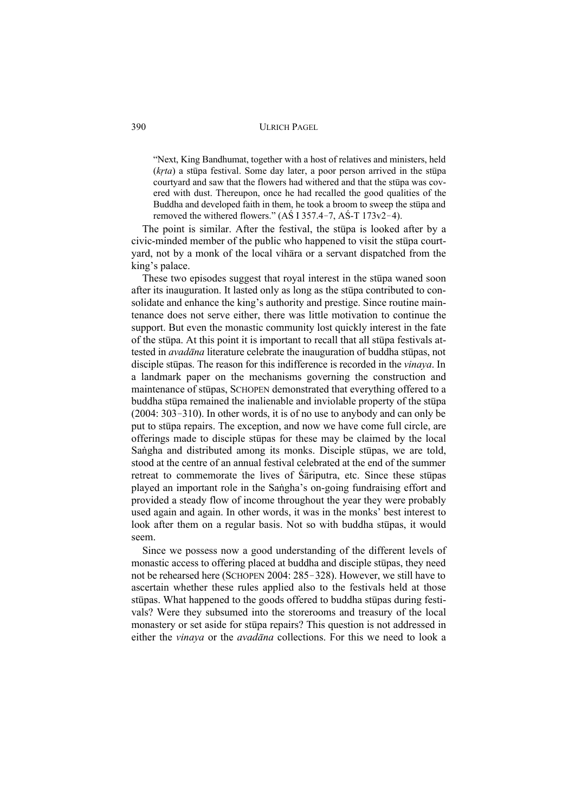"Next, King Bandhumat, together with a host of relatives and ministers, held  $(krta)$  a stūpa festival. Some day later, a poor person arrived in the stūpa courtyard and saw that the flowers had withered and that the stupa was covered with dust. Thereupon, once he had recalled the good qualities of the Buddha and developed faith in them, he took a broom to sweep the stupa and removed the withered flowers."  $(A\dot{S} I 357.4-7, A\dot{S}T 173v2-4)$ .

The point is similar. After the festival, the stupa is looked after by a civic-minded member of the public who happened to visit the stupa courtyard, not by a monk of the local vihara or a servant dispatched from the king´s palace.

These two episodes suggest that royal interest in the stupa waned soon after its inauguration. It lasted only as long as the stupa contributed to consolidate and enhance the king's authority and prestige. Since routine maintenance does not serve either, there was little motivation to continue the support. But even the monastic community lost quickly interest in the fate of the stupa. At this point it is important to recall that all stupa festivals attested in *avadāna* literature celebrate the inauguration of buddha stūpas, not disciple stupas. The reason for this indifference is recorded in the *vinaya*. In a landmark paper on the mechanisms governing the construction and maintenance of stupas, SCHOPEN demonstrated that everything offered to a buddha stūpa remained the inalienable and inviolable property of the stūpa  $(2004: 303-310)$ . In other words, it is of no use to anybody and can only be put to stupa repairs. The exception, and now we have come full circle, are offerings made to disciple stupas for these may be claimed by the local Sangha and distributed among its monks. Disciple stupas, we are told, stood at the centre of an annual festival celebrated at the end of the summer retreat to commemorate the lives of Sariputra, etc. Since these stupas played an important role in the Sangha's on-going fundraising effort and provided a steady flow of income throughout the year they were probably used again and again. In other words, it was in the monks' best interest to look after them on a regular basis. Not so with buddha stupas, it would seem.

Since we possess now a good understanding of the different levels of monastic access to offering placed at buddha and disciple stupas, they need not be rehearsed here (SCHOPEN 2004: 285-328). However, we still have to ascertain whether these rules applied also to the festivals held at those stūpas. What happened to the goods offered to buddha stūpas during festivals? Were they subsumed into the storerooms and treasury of the local monastery or set aside for stupa repairs? This question is not addressed in either the *vinaya* or the *avadana* collections. For this we need to look a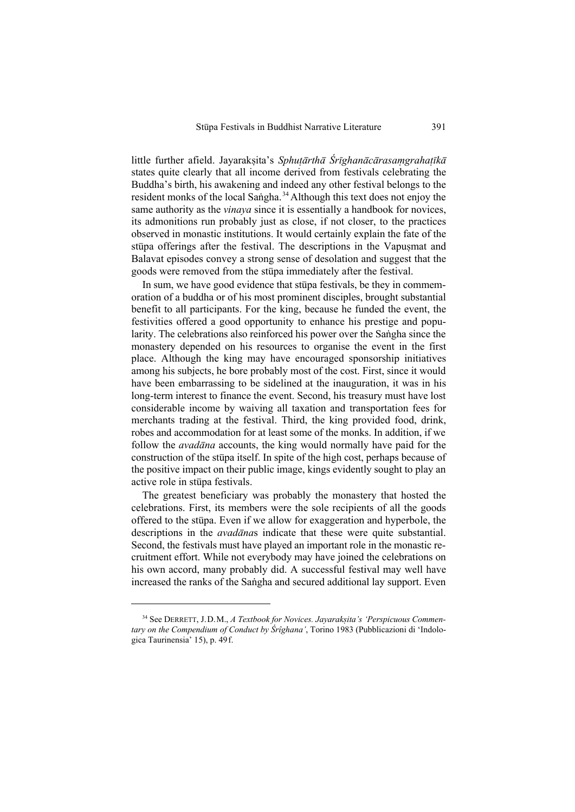little further afield. Jayaraksita's *Sphutārthā Śrīghanācārasamgrahatīkā* states quite clearly that all income derived from festivals celebrating the Buddha's birth, his awakening and indeed any other festival belongs to the resident monks of the local Sangha.<sup> $34$ </sup> Although this text does not enjoy the same authority as the *vinaya* since it is essentially a handbook for novices, its admonitions run probably just as close, if not closer, to the practices observed in monastic institutions. It would certainly explain the fate of the stūpa offerings after the festival. The descriptions in the Vapusmat and Balavat episodes convey a strong sense of desolation and suggest that the goods were removed from the stupa immediately after the festival.

In sum, we have good evidence that stupa festivals, be they in commemoration of a buddha or of his most prominent disciples, brought substantial benefit to all participants. For the king, because he funded the event, the festivities offered a good opportunity to enhance his prestige and popularity. The celebrations also reinforced his power over the Sangha since the monastery depended on his resources to organise the event in the first place. Although the king may have encouraged sponsorship initiatives among his subjects, he bore probably most of the cost. First, since it would have been embarrassing to be sidelined at the inauguration, it was in his long-term interest to finance the event. Second, his treasury must have lost considerable income by waiving all taxation and transportation fees for merchants trading at the festival. Third, the king provided food, drink, robes and accommodation for at least some of the monks. In addition, if we follow the *avadana* accounts, the king would normally have paid for the construction of the stupa itself. In spite of the high cost, perhaps because of the positive impact on their public image, kings evidently sought to play an active role in stupa festivals.

The greatest beneficiary was probably the monastery that hosted the celebrations. First, its members were the sole recipients of all the goods offered to the stupa. Even if we allow for exaggeration and hyperbole, the descriptions in the *avadanas* indicate that these were quite substantial. Second, the festivals must have played an important role in the monastic recruitment effort. While not everybody may have joined the celebrations on his own accord, many probably did. A successful festival may well have increased the ranks of the Sangha and secured additional lay support. Even

<sup>&</sup>lt;sup>34</sup> See DERRETT, J.D.M., *A Textbook for Novices. Jayarakṣita's 'Perspicuous Commentary on the Compendium of Conduct by Śrîghana'*, Torino 1983 (Pubblicazioni di 'Indologica Taurinensia´ 15), p. 49f.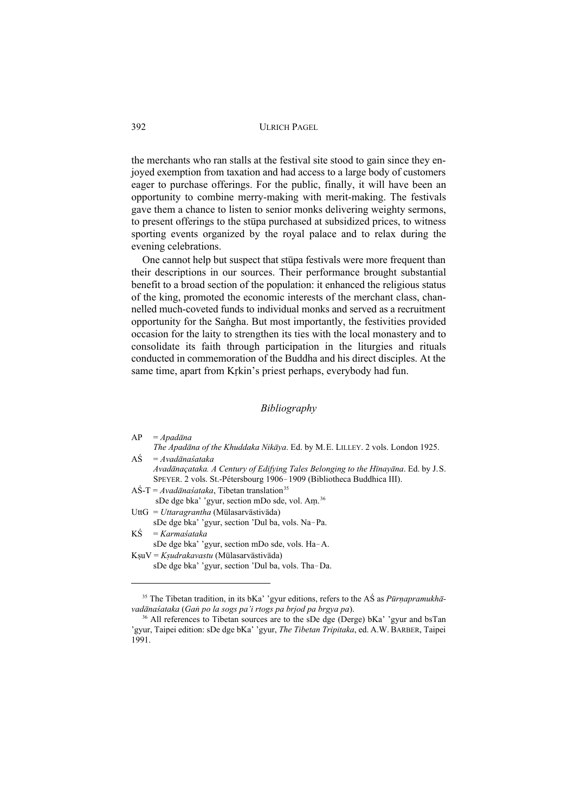the merchants who ran stalls at the festival site stood to gain since they enjoyed exemption from taxation and had access to a large body of customers eager to purchase offerings. For the public, finally, it will have been an opportunity to combine merry-making with merit-making. The festivals gave them a chance to listen to senior monks delivering weighty sermons, to present offerings to the stupa purchased at subsidized prices, to witness sporting events organized by the royal palace and to relax during the evening celebrations.

One cannot help but suspect that stupa festivals were more frequent than their descriptions in our sources. Their performance brought substantial benefit to a broad section of the population: it enhanced the religious status of the king, promoted the economic interests of the merchant class, channelled much-coveted funds to individual monks and served as a recruitment opportunity for the Sangha. But most importantly, the festivities provided occasion for the laity to strengthen its ties with the local monastery and to consolidate its faith through participation in the liturgies and rituals conducted in commemoration of the Buddha and his direct disciples. At the same time, apart from Krkin's priest perhaps, everybody had fun.

#### *Bibliography*

| AP | Apadāna |
|----|---------|
|----|---------|

- *The Apad¢na of the Khuddaka Nik¢ya*. Ed. by M.E. LILLEY. 2 vols. London 1925.  $A\dot{S} = Avad\bar{a}nas'ataka$ 
	- *Avad¢naçataka. A Century of Edifying Tales Belonging to the H¤nay¢na*. Ed. by J.S. SPEYER. 2 vols. St.-Pétersbourg 1906-1909 (Bibliotheca Buddhica III).
- $A\acute{S}$ -T = *Avadānaśataka*, Tibetan translation<sup>35</sup>
- sDe dge bka' 'gyur, section mDo sde, vol. Am.<sup>36</sup>
- UttG = *Uttaragrantha* (Mūlasarvāstivāda) sDe dge bka' 'gyur, section 'Dul ba, vols. Na-Pa.
- $K\dot{S}$  = *Karma'sataka*

sDe dge bka' 'gyur, section mDo sde, vols. Ha-A. KsuV = *Ksudrakavastu* (Mūlasarvāstivāda)

sDe dge bka' 'gyur, section 'Dul ba, vols. Tha-Da.

<sup>&</sup>lt;sup>35</sup> The Tibetan tradition, in its bKa' 'gyur editions, refers to the AS as *Pūrnapramukhāvad¢na¡ataka* (*GaË po la sogs pa'i rtogs pa brjod pa brgya pa*).

 $36$  All references to Tibetan sources are to the sDe dge (Derge) bKa' 'gyur and bsTan 'gyur, Taipei edition: sDe dge bKa' 'gyur, *The Tibetan Tripitaka*, ed. A.W. BARBER, Taipei 1991.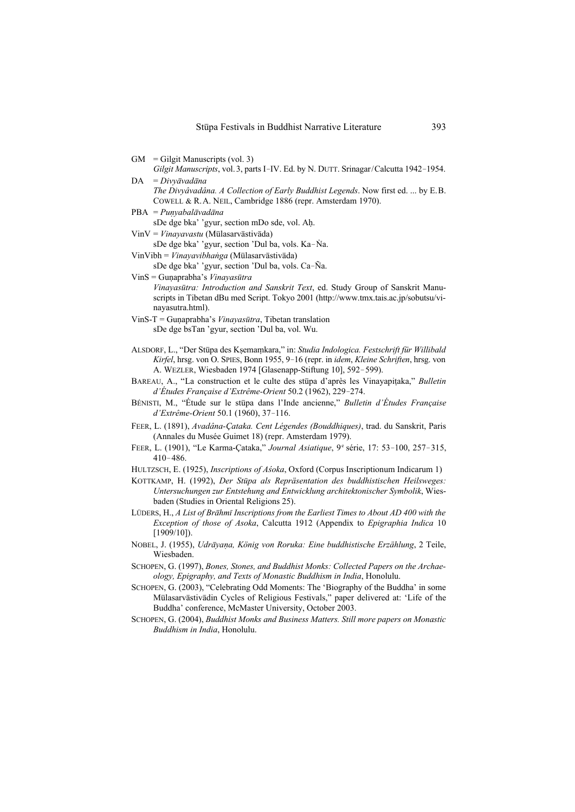- $GM = Gilgit$  Manuscripts (vol. 3)
- *Gilgit Manuscripts*, vol. 3, parts I-IV. Ed. by N. DUTT. Srinagar/Calcutta 1942-1954. DA = *Divyāvadāna*

*The Divyâvadâna. A Collection of Early Buddhist Legends*. Now first ed. ... by E.B. COWELL & R.A. NEIL, Cambridge 1886 (repr. Amsterdam 1970).

PBA = *Punyabalāvadāna* 

sDe dge bka' 'gyur, section mDo sde, vol. AÀ.

- VinV = *Vinayavastu* (Mūlasarvāstivāda) sDe dge bka' 'gyur, section 'Dul ba, vols. Ka-Na.
- VinVibh = *Vinayavibhanga* (Mūlasarvāstivāda)
- sDe dge bka' 'gyur, section 'Dul ba, vols. Ca-Ña.

VinS = Guņaprabha's Vinayasūtra *Vinayasūtra: Introduction and Sanskrit Text*, ed. Study Group of Sanskrit Manuscripts in Tibetan dBu med Script. Tokyo 2001 (http://www.tmx.tais.ac.jp/sobutsu/vinayasutra.html).

- VinS-T = Gunaprabha's *Vinayasūtra*, Tibetan translation sDe dge bsTan 'gyur, section 'Dul ba, vol. Wu.
- ALSDORF, L., "Der Stūpa des Kṣemaṃkara," in: *Studia Indologica. Festschrift für Willibald Kirfel*, hrsg. von O. SPIES, Bonn 1955, 9!16 (repr. in *idem*, *Kleine Schriften*, hrsg. von A. WEZLER, Wiesbaden 1974 [Glasenapp-Stiftung 10], 592-599).
- BAREAU, A., "La construction et le culte des stupa d'après les Vinayapitaka," *Bulletin d'Études Française d'Extrême-Orient* 50.2 (1962), 229-274.
- BÉNISTI, M., "Étude sur le stūpa dans l'Inde ancienne," *Bulletin d'Études Française d'Extrême-Orient* 50.1 (1960), 37-116.
- FEER, L. (1891), *Avadâna-Çataka. Cent Légendes (Bouddhiques)*, trad. du Sanskrit, Paris (Annales du Musée Guimet 18) (repr. Amsterdam 1979).
- FEER, L. (1901), "Le Karma-Çataka," *Journal Asiatique*, 9<sup>e</sup> série, 17: 53-100, 257-315,  $410 - 486.$
- HULTZSCH, E. (1925), *Inscriptions of Asoka*, Oxford (Corpus Inscriptionum Indicarum 1)
- KOTTKAMP, H. (1992), *Der Stūpa als Repräsentation des buddhistischen Heilsweges: Untersuchungen zur Entstehung and Entwicklung architektonischer Symbolik*, Wiesbaden (Studies in Oriental Religions 25).
- LÜDERS, H., *A List of Brāhmī Inscriptions from the Earliest Times to About AD 400 with the Exception of those of Asoka*, Calcutta 1912 (Appendix to *Epigraphia Indica* 10 [1909/10]).
- NOBEL, J. (1955), *Udrāyaņa, König von Roruka: Eine buddhistische Erzählung*, 2 Teile, Wiesbaden.
- SCHOPEN, G. (1997), *Bones, Stones, and Buddhist Monks: Collected Papers on the Archaeology, Epigraphy, and Texts of Monastic Buddhism in India*, Honolulu.
- SCHOPEN, G. (2003), "Celebrating Odd Moments: The `Biography of the Buddha´ in some Mūlasarvāstivādin Cycles of Religious Festivals," paper delivered at: 'Life of the Buddha´ conference, McMaster University, October 2003.
- SCHOPEN, G. (2004), *Buddhist Monks and Business Matters. Still more papers on Monastic Buddhism in India*, Honolulu.